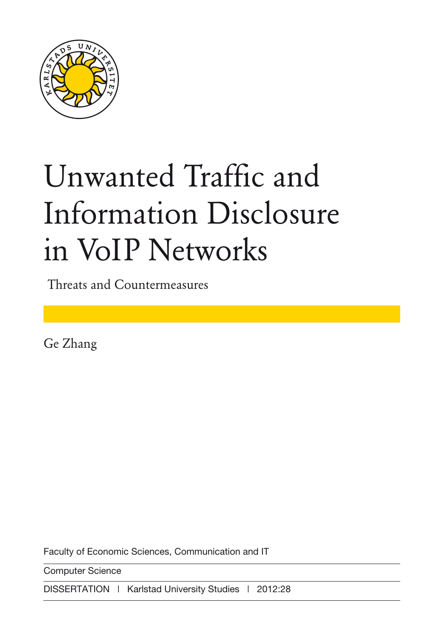

# Unwanted Traffic and Information Disclosure in VoIP Networks

Threats and Countermeasures

Ge Zhang

Faculty of Economic Sciences, Communication and IT

Computer Science

DISSERTATION | Karlstad University Studies | 2012:28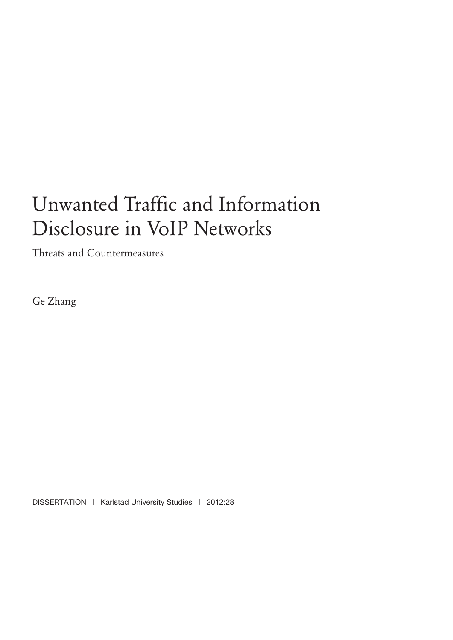# Unwanted Traffic and Information Disclosure in VoIP Networks

Threats and Countermeasures

Ge Zhang

DISSERTATION | Karlstad University Studies | 2012:28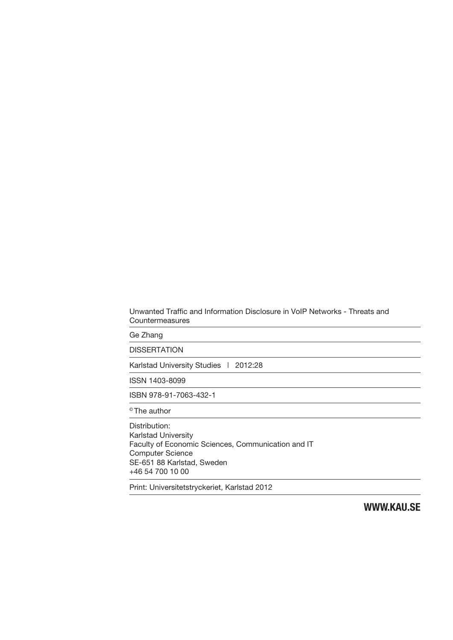Unwanted Traffic and Information Disclosure in VoIP Networks - Threats and **Countermeasures** 

Ge Zhang

**DISSERTATION** 

Karlstad University Studies | 2012:28

ISSN 1403-8099

ISBN 978-91-7063-432-1

© The author

Distribution: Karlstad University Faculty of Economic Sciences, Communication and IT Computer Science SE-651 88 Karlstad, Sweden +46 54 700 10 00

Print: Universitetstryckeriet, Karlstad 2012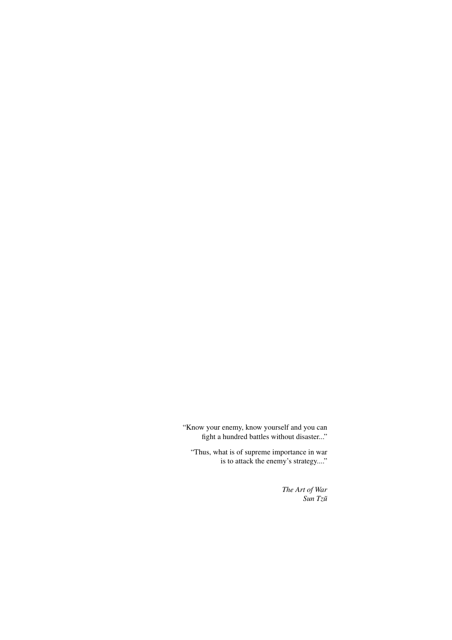"Know your enemy, know yourself and you can fight a hundred battles without disaster..."

"Thus, what is of supreme importance in war is to attack the enemy's strategy...."

> *The Art of War*  $Sun$  Tzu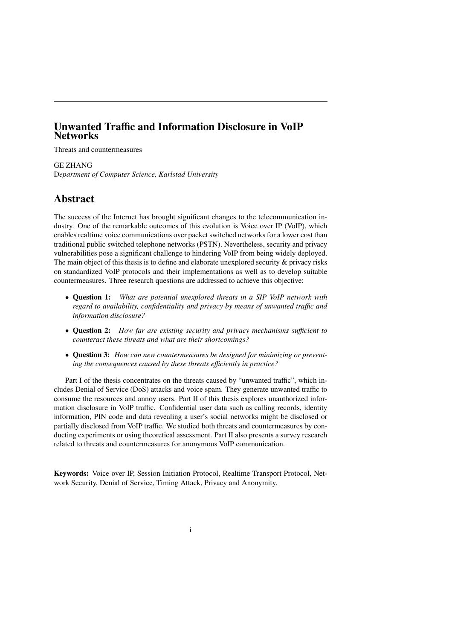# Unwanted Traffic and Information Disclosure in VoIP **Networks**

Threats and countermeasures

GE ZHANG D*epartment of Computer Science, Karlstad University*

# Abstract

The success of the Internet has brought significant changes to the telecommunication industry. One of the remarkable outcomes of this evolution is Voice over IP (VoIP), which enables realtime voice communications over packet switched networks for a lower cost than traditional public switched telephone networks (PSTN). Nevertheless, security and privacy vulnerabilities pose a significant challenge to hindering VoIP from being widely deployed. The main object of this thesis is to define and elaborate unexplored security  $\&$  privacy risks on standardized VoIP protocols and their implementations as well as to develop suitable countermeasures. Three research questions are addressed to achieve this objective:

- Question 1: *What are potential unexplored threats in a SIP VoIP network with regard to availability, confidentiality and privacy by means of unwanted tra*ffi*c and information disclosure?*
- Question 2: *How far are existing security and privacy mechanisms su*ffi*cient to counteract these threats and what are their shortcomings?*
- Question 3: *How can new countermeasures be designed for minimizing or preventing the consequences caused by these threats e*ffi*ciently in practice?*

Part I of the thesis concentrates on the threats caused by "unwanted traffic", which includes Denial of Service (DoS) attacks and voice spam. They generate unwanted traffic to consume the resources and annoy users. Part II of this thesis explores unauthorized information disclosure in VoIP traffic. Confidential user data such as calling records, identity information, PIN code and data revealing a user's social networks might be disclosed or partially disclosed from VoIP traffic. We studied both threats and countermeasures by conducting experiments or using theoretical assessment. Part II also presents a survey research related to threats and countermeasures for anonymous VoIP communication.

Keywords: Voice over IP, Session Initiation Protocol, Realtime Transport Protocol, Network Security, Denial of Service, Timing Attack, Privacy and Anonymity.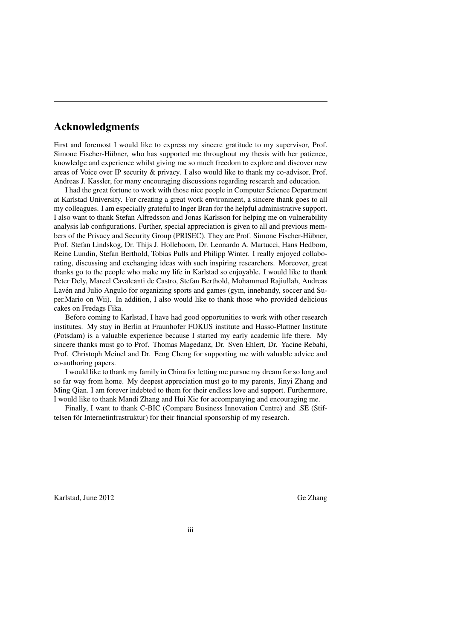# Acknowledgments

First and foremost I would like to express my sincere gratitude to my supervisor, Prof. Simone Fischer-Hübner, who has supported me throughout my thesis with her patience, knowledge and experience whilst giving me so much freedom to explore and discover new areas of Voice over IP security & privacy. I also would like to thank my co-advisor, Prof. Andreas J. Kassler, for many encouraging discussions regarding research and education.

I had the great fortune to work with those nice people in Computer Science Department at Karlstad University. For creating a great work environment, a sincere thank goes to all my colleagues. I am especially grateful to Inger Bran for the helpful administrative support. I also want to thank Stefan Alfredsson and Jonas Karlsson for helping me on vulnerability analysis lab configurations. Further, special appreciation is given to all and previous members of the Privacy and Security Group (PRISEC). They are Prof. Simone Fischer-Hübner, Prof. Stefan Lindskog, Dr. Thijs J. Holleboom, Dr. Leonardo A. Martucci, Hans Hedbom, Reine Lundin, Stefan Berthold, Tobias Pulls and Philipp Winter. I really enjoyed collaborating, discussing and exchanging ideas with such inspiring researchers. Moreover, great thanks go to the people who make my life in Karlstad so enjoyable. I would like to thank Peter Dely, Marcel Cavalcanti de Castro, Stefan Berthold, Mohammad Rajiullah, Andreas Lavén and Julio Angulo for organizing sports and games (gym, innebandy, soccer and Super.Mario on Wii). In addition, I also would like to thank those who provided delicious cakes on Fredags Fika.

Before coming to Karlstad, I have had good opportunities to work with other research institutes. My stay in Berlin at Fraunhofer FOKUS institute and Hasso-Plattner Institute (Potsdam) is a valuable experience because I started my early academic life there. My sincere thanks must go to Prof. Thomas Magedanz, Dr. Sven Ehlert, Dr. Yacine Rebahi, Prof. Christoph Meinel and Dr. Feng Cheng for supporting me with valuable advice and co-authoring papers.

I would like to thank my family in China for letting me pursue my dream for so long and so far way from home. My deepest appreciation must go to my parents, Jinyi Zhang and Ming Qian. I am forever indebted to them for their endless love and support. Furthermore, I would like to thank Mandi Zhang and Hui Xie for accompanying and encouraging me.

Finally, I want to thank C-BIC (Compare Business Innovation Centre) and .SE (Stiftelsen för Internetinfrastruktur) for their financial sponsorship of my research.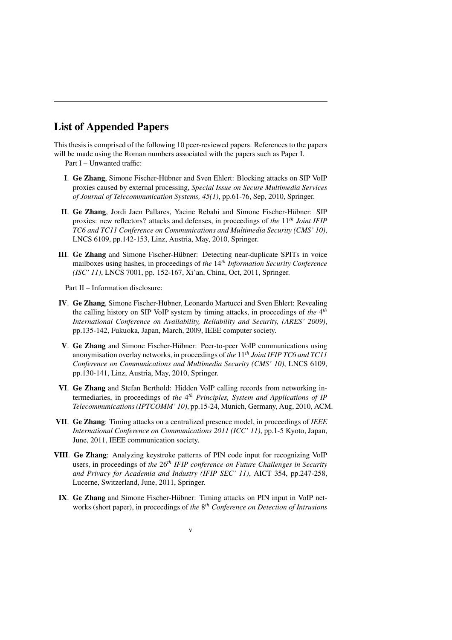# List of Appended Papers

This thesis is comprised of the following 10 peer-reviewed papers. References to the papers will be made using the Roman numbers associated with the papers such as Paper I.

Part I – Unwanted traffic:

- I. Ge Zhang, Simone Fischer-Hübner and Sven Ehlert: Blocking attacks on SIP VoIP proxies caused by external processing, *Special Issue on Secure Multimedia Services of Journal of Telecommunication Systems, 45(1)*, pp.61-76, Sep, 2010, Springer.
- II. Ge Zhang, Jordi Jaen Pallares, Yacine Rebahi and Simone Fischer-Hübner: SIP proxies: new reflectors? attacks and defenses, in proceedings of *the* 11*th Joint IFIP TC6 and TC11 Conference on Communications and Multimedia Security (CMS' 10)*, LNCS 6109, pp.142-153, Linz, Austria, May, 2010, Springer.
- III. Ge Zhang and Simone Fischer-Hübner: Detecting near-duplicate SPITs in voice mailboxes using hashes, in proceedings of *the* 14*th Information Security Conference (ISC' 11)*, LNCS 7001, pp. 152-167, Xi'an, China, Oct, 2011, Springer.

Part II – Information disclosure:

- IV. Ge Zhang, Simone Fischer-Hubner, Leonardo Martucci and Sven Ehlert: Revealing ¨ the calling history on SIP VoIP system by timing attacks, in proceedings of *the* 4 *th International Conference on Availability, Reliability and Security, (ARES' 2009)*, pp.135-142, Fukuoka, Japan, March, 2009, IEEE computer society.
- V. Ge Zhang and Simone Fischer-Hubner: Peer-to-peer VoIP communications using ¨ anonymisation overlay networks, in proceedings of *the* 11*th Joint IFIP TC6 and TC11 Conference on Communications and Multimedia Security (CMS' 10)*, LNCS 6109, pp.130-141, Linz, Austria, May, 2010, Springer.
- VI. Ge Zhang and Stefan Berthold: Hidden VoIP calling records from networking intermediaries, in proceedings of *the* 4 *th Principles, System and Applications of IP Telecommunications (IPTCOMM' 10)*, pp.15-24, Munich, Germany, Aug, 2010, ACM.
- VII. Ge Zhang: Timing attacks on a centralized presence model, in proceedings of *IEEE International Conference on Communications 2011 (ICC' 11)*, pp.1-5 Kyoto, Japan, June, 2011, IEEE communication society.
- VIII. Ge Zhang: Analyzing keystroke patterns of PIN code input for recognizing VoIP users, in proceedings of *the* 26*th IFIP conference on Future Challenges in Security and Privacy for Academia and Industry (IFIP SEC' 11)*, AICT 354, pp.247-258, Lucerne, Switzerland, June, 2011, Springer.
	- IX. Ge Zhang and Simone Fischer-Hübner: Timing attacks on PIN input in VoIP networks (short paper), in proceedings of *the* 8 *th Conference on Detection of Intrusions*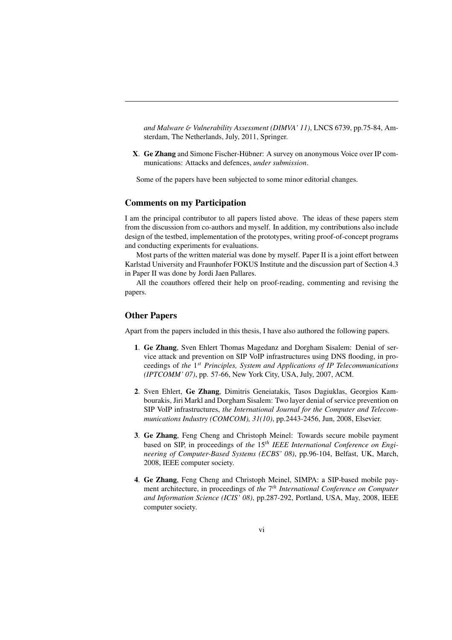*and Malware* & *Vulnerability Assessment (DIMVA' 11)*, LNCS 6739, pp.75-84, Amsterdam, The Netherlands, July, 2011, Springer.

X. Ge Zhang and Simone Fischer-Hübner: A survey on anonymous Voice over IP communications: Attacks and defences, *under submission*.

Some of the papers have been subjected to some minor editorial changes.

#### Comments on my Participation

I am the principal contributor to all papers listed above. The ideas of these papers stem from the discussion from co-authors and myself. In addition, my contributions also include design of the testbed, implementation of the prototypes, writing proof-of-concept programs and conducting experiments for evaluations.

Most parts of the written material was done by myself. Paper II is a joint effort between Karlstad University and Fraunhofer FOKUS Institute and the discussion part of Section 4.3 in Paper II was done by Jordi Jaen Pallares.

All the coauthors offered their help on proof-reading, commenting and revising the papers.

## Other Papers

Apart from the papers included in this thesis, I have also authored the following papers.

- 1. Ge Zhang, Sven Ehlert Thomas Magedanz and Dorgham Sisalem: Denial of service attack and prevention on SIP VoIP infrastructures using DNS flooding, in proceedings of *the* 1 *st Principles, System and Applications of IP Telecommunications (IPTCOMM' 07)*, pp. 57-66, New York City, USA, July, 2007, ACM.
- 2. Sven Ehlert, Ge Zhang, Dimitris Geneiatakis, Tasos Dagiuklas, Georgios Kambourakis, Jiri Markl and Dorgham Sisalem: Two layer denial of service prevention on SIP VoIP infrastructures, *the International Journal for the Computer and Telecommunications Industry (COMCOM), 31(10)*, pp.2443-2456, Jun, 2008, Elsevier.
- 3. Ge Zhang, Feng Cheng and Christoph Meinel: Towards secure mobile payment based on SIP, in proceedings of *the* 15*th IEEE International Conference on Engineering of Computer-Based Systems (ECBS' 08)*, pp.96-104, Belfast, UK, March, 2008, IEEE computer society.
- 4. Ge Zhang, Feng Cheng and Christoph Meinel, SIMPA: a SIP-based mobile payment architecture, in proceedings of *the* 7 *th International Conference on Computer and Information Science (ICIS' 08)*, pp.287-292, Portland, USA, May, 2008, IEEE computer society.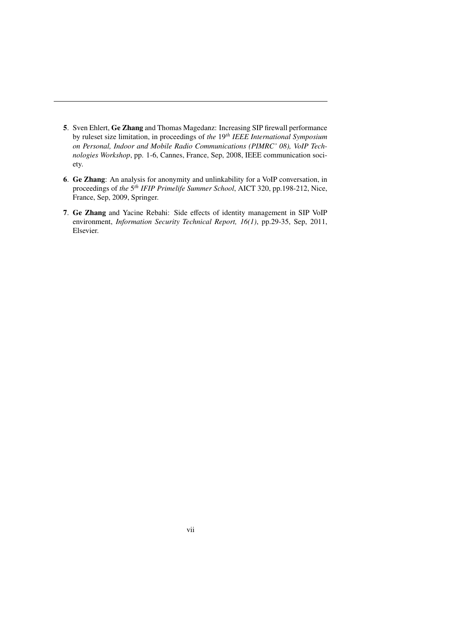- 5. Sven Ehlert, Ge Zhang and Thomas Magedanz: Increasing SIP firewall performance by ruleset size limitation, in proceedings of *the* 19*th IEEE International Symposium on Personal, Indoor and Mobile Radio Communications (PIMRC' 08), VoIP Technologies Workshop*, pp. 1-6, Cannes, France, Sep, 2008, IEEE communication society.
- 6. Ge Zhang: An analysis for anonymity and unlinkability for a VoIP conversation, in proceedings of *the* 5 *th IFIP Primelife Summer School*, AICT 320, pp.198-212, Nice, France, Sep, 2009, Springer.
- 7. Ge Zhang and Yacine Rebahi: Side effects of identity management in SIP VoIP environment, *Information Security Technical Report, 16(1)*, pp.29-35, Sep, 2011, Elsevier.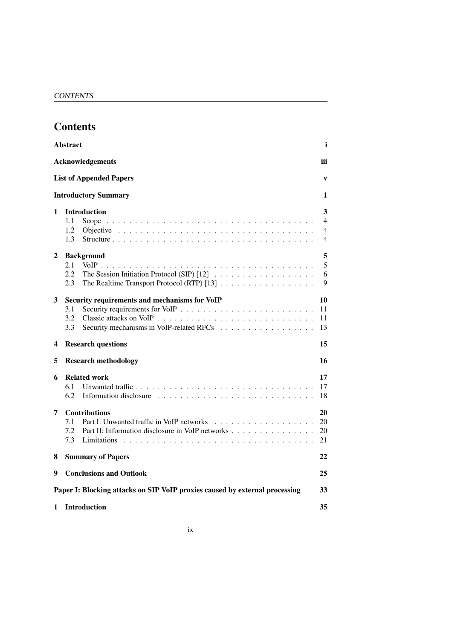# **Contents**

|              | <b>Abstract</b><br><b>Acknowledgements</b><br><b>List of Appended Papers</b>                                                                                 |                                            |  |  |
|--------------|--------------------------------------------------------------------------------------------------------------------------------------------------------------|--------------------------------------------|--|--|
|              |                                                                                                                                                              |                                            |  |  |
|              |                                                                                                                                                              |                                            |  |  |
|              | <b>Introductory Summary</b>                                                                                                                                  | 1                                          |  |  |
| $\mathbf{1}$ | <b>Introduction</b><br>1.1<br>Scope<br>1.2<br>Objective $\ldots \ldots \ldots \ldots \ldots \ldots \ldots \ldots \ldots \ldots \ldots \ldots$<br>1.3         | 3<br>4<br>$\overline{4}$<br>$\overline{4}$ |  |  |
| 2            | <b>Background</b><br>2.1<br>$VoIP$ .<br>The Session Initiation Protocol (SIP) $[12]$<br>2.2<br>The Realtime Transport Protocol (RTP) [13]<br>2.3             | 5<br>5<br>6<br>9                           |  |  |
| 3            | Security requirements and mechanisms for VoIP<br>3.1<br>3.2<br>3.3                                                                                           | 10<br>11<br>11<br>13                       |  |  |
| 4            | <b>Research questions</b>                                                                                                                                    | 15                                         |  |  |
| 5            | <b>Research methodology</b>                                                                                                                                  | 16                                         |  |  |
| 6            | <b>Related work</b><br>6.1<br>6.2<br>Information disclosure $\ldots$ , $\ldots$ , $\ldots$ , $\ldots$ , $\ldots$ , $\ldots$ , $\ldots$ , $\ldots$ , $\ldots$ | 17<br>17<br>18                             |  |  |
| 7            | <b>Contributions</b><br>7.1<br>Part II: Information disclosure in VoIP networks<br>7.2<br>7.3<br>Limitations                                                 | 20<br>20<br>20<br>21                       |  |  |
| 8            | <b>Summary of Papers</b>                                                                                                                                     | 22                                         |  |  |
| 9            | <b>Conclusions and Outlook</b>                                                                                                                               | 25                                         |  |  |
|              | Paper I: Blocking attacks on SIP VoIP proxies caused by external processing                                                                                  | 33                                         |  |  |
| 1            | <b>Introduction</b>                                                                                                                                          | 35                                         |  |  |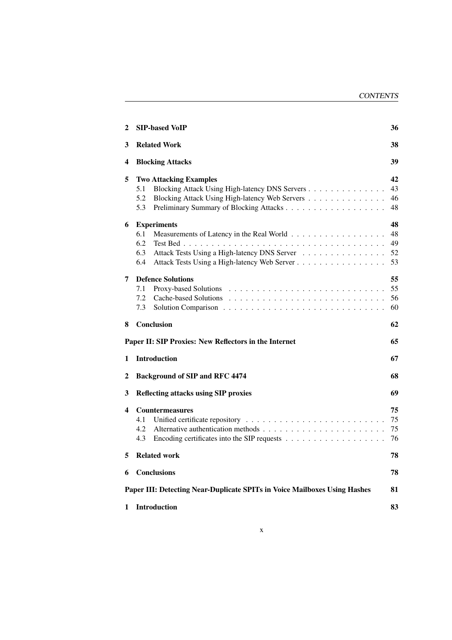| $\mathbf{2}$ | <b>SIP-based VoIP</b>                                                                                                                                                                           | 36                         |
|--------------|-------------------------------------------------------------------------------------------------------------------------------------------------------------------------------------------------|----------------------------|
| 3            | <b>Related Work</b>                                                                                                                                                                             | 38                         |
| 4            | <b>Blocking Attacks</b>                                                                                                                                                                         |                            |
| 5            | <b>Two Attacking Examples</b><br>Blocking Attack Using High-latency DNS Servers<br>5.1<br>Blocking Attack Using High-latency Web Servers<br>5.2<br>5.3                                          | 42<br>43<br>46<br>48       |
| 6            | <b>Experiments</b><br>6.1<br>Measurements of Latency in the Real World<br>6.2<br>6.3<br>Attack Tests Using a High-latency DNS Server<br>6.4<br>Attack Tests Using a High-latency Web Server     | 48<br>48<br>49<br>52<br>53 |
| 7            | <b>Defence Solutions</b><br>7.1<br><b>Proxy-based Solutions</b><br>7.2<br>Cache-based Solutions response to response the contract of the case of the case of the case of the case of the<br>7.3 | 55<br>55<br>56<br>60       |
| 8            | <b>Conclusion</b>                                                                                                                                                                               | 62                         |
|              | Paper II: SIP Proxies: New Reflectors in the Internet                                                                                                                                           | 65                         |
| 1            | <b>Introduction</b>                                                                                                                                                                             | 67                         |
| 2            | <b>Background of SIP and RFC 4474</b>                                                                                                                                                           | 68                         |
| 3            | <b>Reflecting attacks using SIP proxies</b>                                                                                                                                                     | 69                         |
| 4            | <b>Countermeasures</b><br>4.1<br>4.2<br>4.3                                                                                                                                                     | 75<br>75<br>75<br>76       |
| 5            | <b>Related work</b>                                                                                                                                                                             | 78                         |
| 6            | <b>Conclusions</b>                                                                                                                                                                              | 78                         |
|              | Paper III: Detecting Near-Duplicate SPITs in Voice Mailboxes Using Hashes                                                                                                                       | 81                         |
| 1            | <b>Introduction</b>                                                                                                                                                                             | 83                         |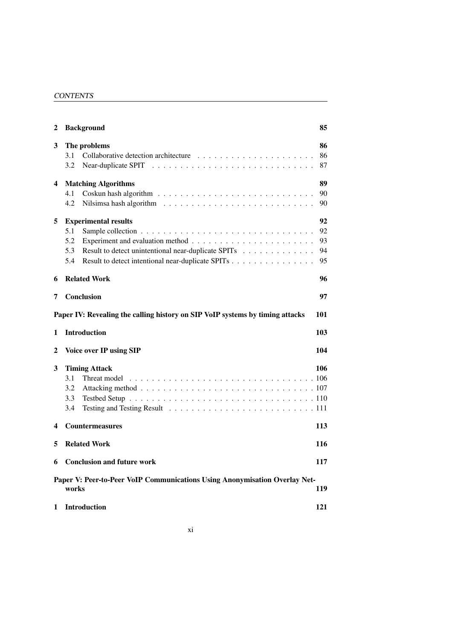| 2 | <b>Background</b>                                                             | 85       |
|---|-------------------------------------------------------------------------------|----------|
| 3 | The problems<br>3.1                                                           | 86<br>86 |
|   | 3.2<br>Near-duplicate SPIT                                                    | 87       |
| 4 | <b>Matching Algorithms</b>                                                    | 89       |
|   | 4.1                                                                           | 90       |
|   | 4.2                                                                           | 90       |
| 5 | <b>Experimental results</b>                                                   | 92       |
|   | 5.1                                                                           | 92       |
|   | 5.2                                                                           | 93       |
|   | 5.3<br>Result to detect unintentional near-duplicate SPITs                    | 94       |
|   | 5.4<br>Result to detect intentional near-duplicate SPITs                      | 95       |
| 6 | <b>Related Work</b>                                                           | 96       |
| 7 | Conclusion                                                                    | 97       |
|   | Paper IV: Revealing the calling history on SIP VoIP systems by timing attacks | 101      |
| 1 | <b>Introduction</b>                                                           | 103      |
| 2 | Voice over IP using SIP                                                       | 104      |
| 3 | <b>Timing Attack</b>                                                          | 106      |
|   | 3.1<br>Threat model                                                           |          |
|   | 3.2                                                                           |          |
|   | 3.3                                                                           |          |
|   | 3.4                                                                           |          |
| 4 | <b>Countermeasures</b>                                                        | 113      |
| 5 | <b>Related Work</b>                                                           | 116      |
| 6 | <b>Conclusion and future work</b>                                             | 117      |
|   | Paper V: Peer-to-Peer VoIP Communications Using Anonymisation Overlay Net-    |          |
|   | works                                                                         | 119      |
| 1 | <b>Introduction</b>                                                           | 121      |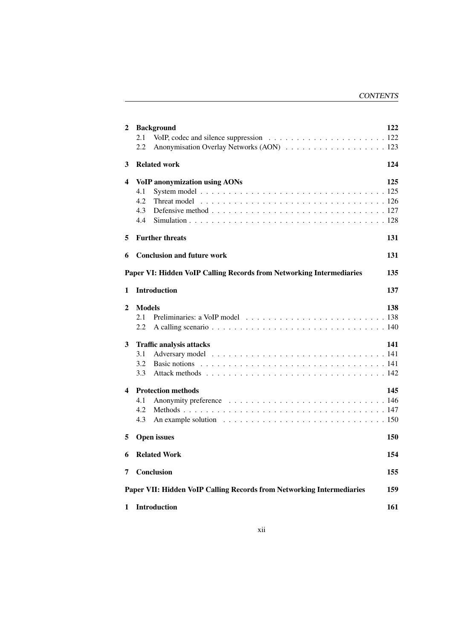| $\mathbf{2}$   | <b>Background</b>                                                                                                 | 122 |
|----------------|-------------------------------------------------------------------------------------------------------------------|-----|
|                | VoIP, codec and silence suppression $\ldots \ldots \ldots \ldots \ldots \ldots \ldots 122$<br>2.1                 |     |
|                | Anonymisation Overlay Networks (AON) 123<br>2.2                                                                   |     |
| 3              | <b>Related work</b>                                                                                               | 124 |
| 4              | <b>VoIP anonymization using AONs</b>                                                                              | 125 |
|                | System model $\ldots \ldots \ldots \ldots \ldots \ldots \ldots \ldots \ldots \ldots \ldots \ldots 125$<br>4.1     |     |
|                | 4.2<br>Threat model $\ldots \ldots \ldots \ldots \ldots \ldots \ldots \ldots \ldots \ldots \ldots \ldots 126$     |     |
|                | 4.3<br>Defensive method $\ldots \ldots \ldots \ldots \ldots \ldots \ldots \ldots \ldots \ldots \ldots \ldots 127$ |     |
|                | 4.4                                                                                                               |     |
| 5              | <b>Further threats</b>                                                                                            | 131 |
| 6              | <b>Conclusion and future work</b>                                                                                 | 131 |
|                | Paper VI: Hidden VoIP Calling Records from Networking Intermediaries                                              | 135 |
| 1              | <b>Introduction</b>                                                                                               | 137 |
| $\overline{2}$ | <b>Models</b>                                                                                                     | 138 |
|                | 2.1                                                                                                               |     |
|                | 2.2                                                                                                               |     |
| 3              | <b>Traffic analysis attacks</b>                                                                                   | 141 |
|                | 3.1                                                                                                               |     |
|                | 3.2                                                                                                               |     |
|                | 3.3                                                                                                               |     |
| 4              | <b>Protection methods</b>                                                                                         | 145 |
|                | 4.1                                                                                                               |     |
|                | 4.2                                                                                                               |     |
|                | 4.3                                                                                                               |     |
| 5              | <b>Open</b> issues                                                                                                | 150 |
| 6              | <b>Related Work</b>                                                                                               | 154 |
| 7              | Conclusion                                                                                                        | 155 |
|                | Paper VII: Hidden VoIP Calling Records from Networking Intermediaries                                             | 159 |
| 1              | <b>Introduction</b>                                                                                               | 161 |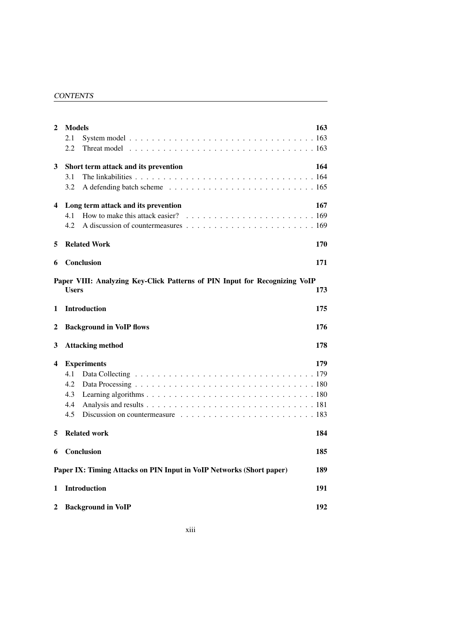| 2 | <b>Models</b><br>2.1<br>System model $\ldots \ldots \ldots \ldots \ldots \ldots \ldots \ldots \ldots \ldots \ldots \ldots \ldots 163$<br>2.2<br>Threat model | 163 |
|---|--------------------------------------------------------------------------------------------------------------------------------------------------------------|-----|
| 3 | Short term attack and its prevention<br>3.1<br>3.2                                                                                                           | 164 |
| 4 | Long term attack and its prevention<br>4.1<br>4.2.                                                                                                           | 167 |
| 5 | <b>Related Work</b>                                                                                                                                          | 170 |
| 6 | <b>Conclusion</b>                                                                                                                                            | 171 |
|   | Paper VIII: Analyzing Key-Click Patterns of PIN Input for Recognizing VoIP<br><b>Users</b>                                                                   | 173 |
| 1 | <b>Introduction</b>                                                                                                                                          | 175 |
| 2 | <b>Background in VoIP flows</b>                                                                                                                              | 176 |
| 3 | <b>Attacking method</b>                                                                                                                                      | 178 |
| 4 | <b>Experiments</b><br>4.1<br>4.2<br>4.3<br>4.4<br>4.5<br>Discussion on countermeasure $\ldots \ldots \ldots \ldots \ldots \ldots \ldots \ldots 183$          | 179 |
| 5 | <b>Related work</b>                                                                                                                                          | 184 |
| 6 | <b>Conclusion</b>                                                                                                                                            | 185 |
|   | Paper IX: Timing Attacks on PIN Input in VoIP Networks (Short paper)                                                                                         | 189 |
| 1 | <b>Introduction</b>                                                                                                                                          | 191 |
| 2 | <b>Background in VoIP</b>                                                                                                                                    | 192 |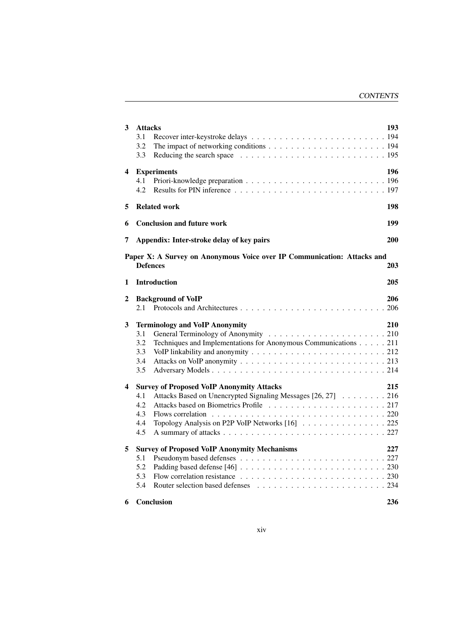| 3                       | <b>Attacks</b> |                                                                                                  | 193 |
|-------------------------|----------------|--------------------------------------------------------------------------------------------------|-----|
|                         | 3.1            |                                                                                                  |     |
|                         | 3.2            |                                                                                                  |     |
|                         | 3.3            |                                                                                                  |     |
| $\overline{\mathbf{4}}$ |                | <b>Experiments</b>                                                                               | 196 |
|                         | 4.1            |                                                                                                  |     |
|                         | 4.2            |                                                                                                  |     |
| 5                       |                | <b>Related work</b>                                                                              | 198 |
| 6                       |                | <b>Conclusion and future work</b>                                                                | 199 |
| 7                       |                | Appendix: Inter-stroke delay of key pairs                                                        | 200 |
|                         |                | Paper X: A Survey on Anonymous Voice over IP Communication: Attacks and                          |     |
|                         |                | <b>Defences</b>                                                                                  | 203 |
| 1                       |                | <b>Introduction</b>                                                                              | 205 |
| 2                       |                | <b>Background of VoIP</b>                                                                        | 206 |
|                         | 2.1            |                                                                                                  |     |
| 3                       |                | <b>Terminology and VoIP Anonymity</b>                                                            | 210 |
|                         | 3.1            |                                                                                                  |     |
|                         | 3.2            | Techniques and Implementations for Anonymous Communications 211                                  |     |
|                         | 3.3            |                                                                                                  |     |
|                         | 3.4            |                                                                                                  |     |
|                         | 3.5            |                                                                                                  |     |
| $\overline{\mathbf{4}}$ |                | <b>Survey of Proposed VoIP Anonymity Attacks</b>                                                 | 215 |
|                         | 4.1            | Attacks Based on Unencrypted Signaling Messages [26, 27] 216                                     |     |
|                         | 4.2            |                                                                                                  |     |
|                         | 4.3            |                                                                                                  |     |
|                         | 4.4            | Topology Analysis on P2P VoIP Networks [16] 225                                                  |     |
|                         | 4.5            |                                                                                                  |     |
| 5                       |                | <b>Survey of Proposed VoIP Anonymity Mechanisms</b>                                              | 227 |
|                         | 5.1            |                                                                                                  |     |
|                         | 5.2            |                                                                                                  |     |
|                         | 5.3            | Flow correlation resistance $\ldots \ldots \ldots \ldots \ldots \ldots \ldots \ldots \ldots 230$ |     |
|                         | 5.4            |                                                                                                  |     |
| 6                       |                | Conclusion                                                                                       | 236 |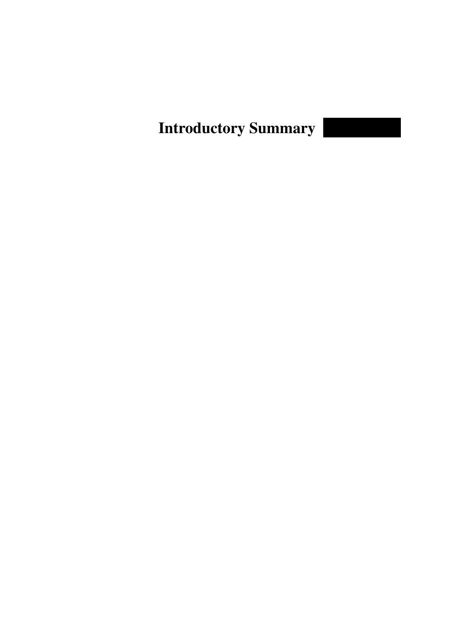# Introductory Summary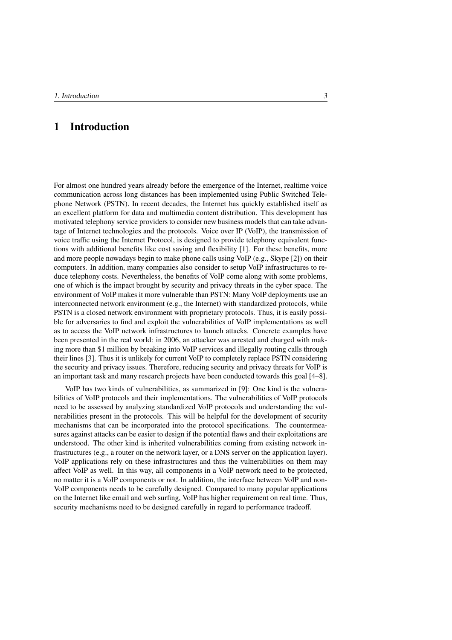# 1 Introduction

For almost one hundred years already before the emergence of the Internet, realtime voice communication across long distances has been implemented using Public Switched Telephone Network (PSTN). In recent decades, the Internet has quickly established itself as an excellent platform for data and multimedia content distribution. This development has motivated telephony service providers to consider new business models that can take advantage of Internet technologies and the protocols. Voice over IP (VoIP), the transmission of voice traffic using the Internet Protocol, is designed to provide telephony equivalent functions with additional benefits like cost saving and flexibility [1]. For these benefits, more and more people nowadays begin to make phone calls using VoIP (e.g., Skype [2]) on their computers. In addition, many companies also consider to setup VoIP infrastructures to reduce telephony costs. Nevertheless, the benefits of VoIP come along with some problems, one of which is the impact brought by security and privacy threats in the cyber space. The environment of VoIP makes it more vulnerable than PSTN: Many VoIP deployments use an interconnected network environment (e.g., the Internet) with standardized protocols, while PSTN is a closed network environment with proprietary protocols. Thus, it is easily possible for adversaries to find and exploit the vulnerabilities of VoIP implementations as well as to access the VoIP network infrastructures to launch attacks. Concrete examples have been presented in the real world: in 2006, an attacker was arrested and charged with making more than \$1 million by breaking into VoIP services and illegally routing calls through their lines [3]. Thus it is unlikely for current VoIP to completely replace PSTN considering the security and privacy issues. Therefore, reducing security and privacy threats for VoIP is an important task and many research projects have been conducted towards this goal [4–8].

VoIP has two kinds of vulnerabilities, as summarized in [9]: One kind is the vulnerabilities of VoIP protocols and their implementations. The vulnerabilities of VoIP protocols need to be assessed by analyzing standardized VoIP protocols and understanding the vulnerabilities present in the protocols. This will be helpful for the development of security mechanisms that can be incorporated into the protocol specifications. The countermeasures against attacks can be easier to design if the potential flaws and their exploitations are understood. The other kind is inherited vulnerabilities coming from existing network infrastructures (e.g., a router on the network layer, or a DNS server on the application layer). VoIP applications rely on these infrastructures and thus the vulnerabilities on them may affect VoIP as well. In this way, all components in a VoIP network need to be protected, no matter it is a VoIP components or not. In addition, the interface between VoIP and non-VoIP components needs to be carefully designed. Compared to many popular applications on the Internet like email and web surfing, VoIP has higher requirement on real time. Thus, security mechanisms need to be designed carefully in regard to performance tradeoff.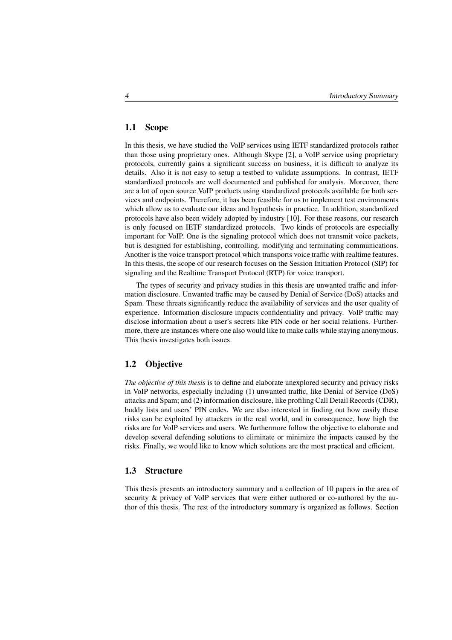#### 1.1 Scope

In this thesis, we have studied the VoIP services using IETF standardized protocols rather than those using proprietary ones. Although Skype [2], a VoIP service using proprietary protocols, currently gains a significant success on business, it is difficult to analyze its details. Also it is not easy to setup a testbed to validate assumptions. In contrast, IETF standardized protocols are well documented and published for analysis. Moreover, there are a lot of open source VoIP products using standardized protocols available for both services and endpoints. Therefore, it has been feasible for us to implement test environments which allow us to evaluate our ideas and hypothesis in practice. In addition, standardized protocols have also been widely adopted by industry [10]. For these reasons, our research is only focused on IETF standardized protocols. Two kinds of protocols are especially important for VoIP. One is the signaling protocol which does not transmit voice packets, but is designed for establishing, controlling, modifying and terminating communications. Another is the voice transport protocol which transports voice traffic with realtime features. In this thesis, the scope of our research focuses on the Session Initiation Protocol (SIP) for signaling and the Realtime Transport Protocol (RTP) for voice transport.

The types of security and privacy studies in this thesis are unwanted traffic and information disclosure. Unwanted traffic may be caused by Denial of Service (DoS) attacks and Spam. These threats significantly reduce the availability of services and the user quality of experience. Information disclosure impacts confidentiality and privacy. VoIP traffic may disclose information about a user's secrets like PIN code or her social relations. Furthermore, there are instances where one also would like to make calls while staying anonymous. This thesis investigates both issues.

#### 1.2 Objective

*The objective of this thesis* is to define and elaborate unexplored security and privacy risks in VoIP networks, especially including (1) unwanted traffic, like Denial of Service (DoS) attacks and Spam; and (2) information disclosure, like profiling Call Detail Records (CDR), buddy lists and users' PIN codes. We are also interested in finding out how easily these risks can be exploited by attackers in the real world, and in consequence, how high the risks are for VoIP services and users. We furthermore follow the objective to elaborate and develop several defending solutions to eliminate or minimize the impacts caused by the risks. Finally, we would like to know which solutions are the most practical and efficient.

#### 1.3 Structure

This thesis presents an introductory summary and a collection of 10 papers in the area of security & privacy of VoIP services that were either authored or co-authored by the author of this thesis. The rest of the introductory summary is organized as follows. Section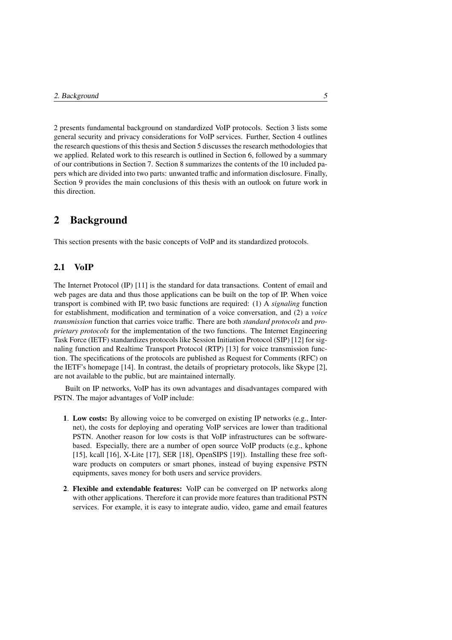2 presents fundamental background on standardized VoIP protocols. Section 3 lists some general security and privacy considerations for VoIP services. Further, Section 4 outlines the research questions of this thesis and Section 5 discusses the research methodologies that we applied. Related work to this research is outlined in Section 6, followed by a summary of our contributions in Section 7. Section 8 summarizes the contents of the 10 included papers which are divided into two parts: unwanted traffic and information disclosure. Finally, Section 9 provides the main conclusions of this thesis with an outlook on future work in this direction.

# 2 Background

This section presents with the basic concepts of VoIP and its standardized protocols.

## 2.1 VoIP

The Internet Protocol (IP) [11] is the standard for data transactions. Content of email and web pages are data and thus those applications can be built on the top of IP. When voice transport is combined with IP, two basic functions are required: (1) A *signaling* function for establishment, modification and termination of a voice conversation, and (2) a *voice transmission* function that carries voice traffic. There are both *standard protocols* and *proprietary protocols* for the implementation of the two functions. The Internet Engineering Task Force (IETF) standardizes protocols like Session Initiation Protocol (SIP) [12] for signaling function and Realtime Transport Protocol (RTP) [13] for voice transmission function. The specifications of the protocols are published as Request for Comments (RFC) on the IETF's homepage [14]. In contrast, the details of proprietary protocols, like Skype [2], are not available to the public, but are maintained internally.

Built on IP networks, VoIP has its own advantages and disadvantages compared with PSTN. The major advantages of VoIP include:

- 1. Low costs: By allowing voice to be converged on existing IP networks (e.g., Internet), the costs for deploying and operating VoIP services are lower than traditional PSTN. Another reason for low costs is that VoIP infrastructures can be softwarebased. Especially, there are a number of open source VoIP products (e.g., kphone [15], kcall [16], X-Lite [17], SER [18], OpenSIPS [19]). Installing these free software products on computers or smart phones, instead of buying expensive PSTN equipments, saves money for both users and service providers.
- 2. Flexible and extendable features: VoIP can be converged on IP networks along with other applications. Therefore it can provide more features than traditional PSTN services. For example, it is easy to integrate audio, video, game and email features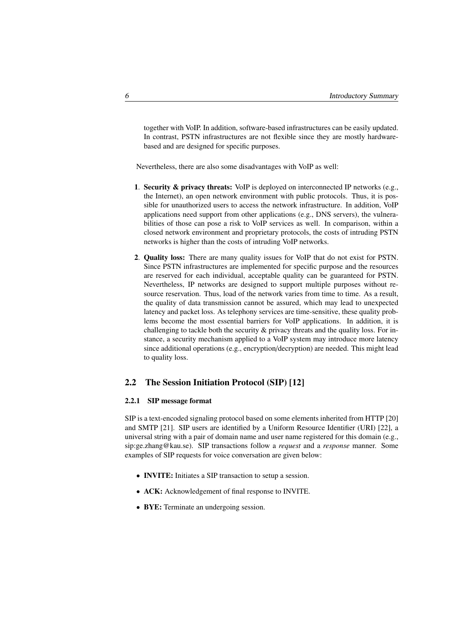together with VoIP. In addition, software-based infrastructures can be easily updated. In contrast, PSTN infrastructures are not flexible since they are mostly hardwarebased and are designed for specific purposes.

Nevertheless, there are also some disadvantages with VoIP as well:

- 1. Security  $\&$  privacy threats: VoIP is deployed on interconnected IP networks (e.g., the Internet), an open network environment with public protocols. Thus, it is possible for unauthorized users to access the network infrastructure. In addition, VoIP applications need support from other applications (e.g., DNS servers), the vulnerabilities of those can pose a risk to VoIP services as well. In comparison, within a closed network environment and proprietary protocols, the costs of intruding PSTN networks is higher than the costs of intruding VoIP networks.
- 2. Quality loss: There are many quality issues for VoIP that do not exist for PSTN. Since PSTN infrastructures are implemented for specific purpose and the resources are reserved for each individual, acceptable quality can be guaranteed for PSTN. Nevertheless, IP networks are designed to support multiple purposes without resource reservation. Thus, load of the network varies from time to time. As a result, the quality of data transmission cannot be assured, which may lead to unexpected latency and packet loss. As telephony services are time-sensitive, these quality problems become the most essential barriers for VoIP applications. In addition, it is challenging to tackle both the security  $\&$  privacy threats and the quality loss. For instance, a security mechanism applied to a VoIP system may introduce more latency since additional operations (e.g., encryption/decryption) are needed. This might lead to quality loss.

# 2.2 The Session Initiation Protocol (SIP) [12]

#### 2.2.1 SIP message format

SIP is a text-encoded signaling protocol based on some elements inherited from HTTP [20] and SMTP [21]. SIP users are identified by a Uniform Resource Identifier (URI) [22], a universal string with a pair of domain name and user name registered for this domain (e.g., sip:ge.zhang@kau.se). SIP transactions follow a *request* and a *response* manner. Some examples of SIP requests for voice conversation are given below:

- **INVITE:** Initiates a SIP transaction to setup a session.
- ACK: Acknowledgement of final response to INVITE.
- **BYE:** Terminate an undergoing session.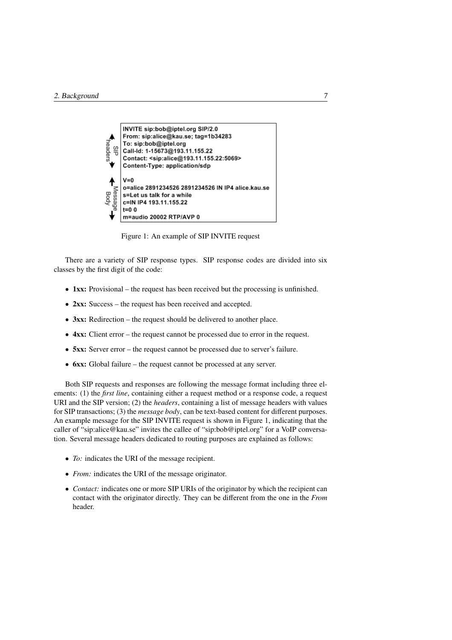

Figure 1: An example of SIP INVITE request

There are a variety of SIP response types. SIP response codes are divided into six classes by the first digit of the code:

- 1xx: Provisional the request has been received but the processing is unfinished.
- 2xx: Success the request has been received and accepted.
- 3xx: Redirection the request should be delivered to another place.
- 4xx: Client error the request cannot be processed due to error in the request.
- 5xx: Server error the request cannot be processed due to server's failure.
- 6xx: Global failure the request cannot be processed at any server.

Both SIP requests and responses are following the message format including three elements: (1) the *first line*, containing either a request method or a response code, a request URI and the SIP version; (2) the *headers*, containing a list of message headers with values for SIP transactions; (3) the *message body*, can be text-based content for different purposes. An example message for the SIP INVITE request is shown in Figure 1, indicating that the caller of "sip:alice@kau.se" invites the callee of "sip:bob@iptel.org" for a VoIP conversation. Several message headers dedicated to routing purposes are explained as follows:

- *To:* indicates the URI of the message recipient.
- *From:* indicates the URI of the message originator.
- *Contact:* indicates one or more SIP URIs of the originator by which the recipient can contact with the originator directly. They can be different from the one in the *From* header.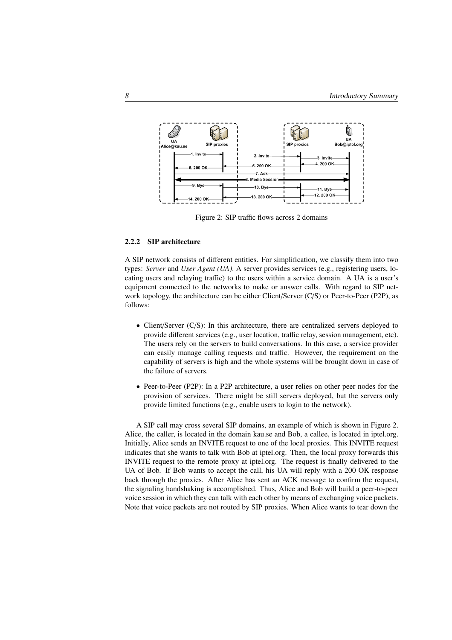

Figure 2: SIP traffic flows across 2 domains

#### 2.2.2 SIP architecture

A SIP network consists of different entities. For simplification, we classify them into two types: *Server* and *User Agent (UA)*. A server provides services (e.g., registering users, locating users and relaying traffic) to the users within a service domain. A UA is a user's equipment connected to the networks to make or answer calls. With regard to SIP network topology, the architecture can be either Client/Server (C/S) or Peer-to-Peer (P2P), as follows:

- Client/Server (C/S): In this architecture, there are centralized servers deployed to provide different services (e.g., user location, traffic relay, session management, etc). The users rely on the servers to build conversations. In this case, a service provider can easily manage calling requests and traffic. However, the requirement on the capability of servers is high and the whole systems will be brought down in case of the failure of servers.
- Peer-to-Peer (P2P): In a P2P architecture, a user relies on other peer nodes for the provision of services. There might be still servers deployed, but the servers only provide limited functions (e.g., enable users to login to the network).

A SIP call may cross several SIP domains, an example of which is shown in Figure 2. Alice, the caller, is located in the domain kau.se and Bob, a callee, is located in iptel.org. Initially, Alice sends an INVITE request to one of the local proxies. This INVITE request indicates that she wants to talk with Bob at iptel.org. Then, the local proxy forwards this INVITE request to the remote proxy at iptel.org. The request is finally delivered to the UA of Bob. If Bob wants to accept the call, his UA will reply with a 200 OK response back through the proxies. After Alice has sent an ACK message to confirm the request, the signaling handshaking is accomplished. Thus, Alice and Bob will build a peer-to-peer voice session in which they can talk with each other by means of exchanging voice packets. Note that voice packets are not routed by SIP proxies. When Alice wants to tear down the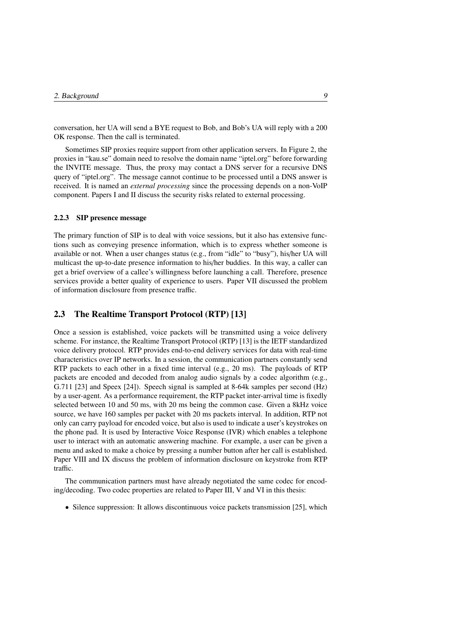conversation, her UA will send a BYE request to Bob, and Bob's UA will reply with a 200 OK response. Then the call is terminated.

Sometimes SIP proxies require support from other application servers. In Figure 2, the proxies in "kau.se" domain need to resolve the domain name "iptel.org" before forwarding the INVITE message. Thus, the proxy may contact a DNS server for a recursive DNS query of "iptel.org". The message cannot continue to be processed until a DNS answer is received. It is named an *external processing* since the processing depends on a non-VoIP component. Papers I and II discuss the security risks related to external processing.

#### 2.2.3 SIP presence message

The primary function of SIP is to deal with voice sessions, but it also has extensive functions such as conveying presence information, which is to express whether someone is available or not. When a user changes status (e.g., from "idle" to "busy"), his/her UA will multicast the up-to-date presence information to his/her buddies. In this way, a caller can get a brief overview of a callee's willingness before launching a call. Therefore, presence services provide a better quality of experience to users. Paper VII discussed the problem of information disclosure from presence traffic.

#### 2.3 The Realtime Transport Protocol (RTP) [13]

Once a session is established, voice packets will be transmitted using a voice delivery scheme. For instance, the Realtime Transport Protocol (RTP) [13] is the IETF standardized voice delivery protocol. RTP provides end-to-end delivery services for data with real-time characteristics over IP networks. In a session, the communication partners constantly send RTP packets to each other in a fixed time interval (e.g., 20 ms). The payloads of RTP packets are encoded and decoded from analog audio signals by a codec algorithm (e.g., G.711 [23] and Speex [24]). Speech signal is sampled at 8-64k samples per second (Hz) by a user-agent. As a performance requirement, the RTP packet inter-arrival time is fixedly selected between 10 and 50 ms, with 20 ms being the common case. Given a 8kHz voice source, we have 160 samples per packet with 20 ms packets interval. In addition, RTP not only can carry payload for encoded voice, but also is used to indicate a user's keystrokes on the phone pad. It is used by Interactive Voice Response (IVR) which enables a telephone user to interact with an automatic answering machine. For example, a user can be given a menu and asked to make a choice by pressing a number button after her call is established. Paper VIII and IX discuss the problem of information disclosure on keystroke from RTP traffic.

The communication partners must have already negotiated the same codec for encoding/decoding. Two codec properties are related to Paper III, V and VI in this thesis:

• Silence suppression: It allows discontinuous voice packets transmission [25], which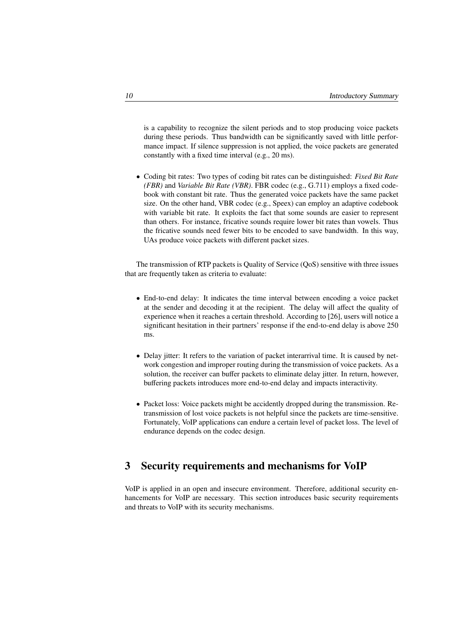is a capability to recognize the silent periods and to stop producing voice packets during these periods. Thus bandwidth can be significantly saved with little performance impact. If silence suppression is not applied, the voice packets are generated constantly with a fixed time interval (e.g., 20 ms).

• Coding bit rates: Two types of coding bit rates can be distinguished: *Fixed Bit Rate (FBR)* and *Variable Bit Rate (VBR)*. FBR codec (e.g., G.711) employs a fixed codebook with constant bit rate. Thus the generated voice packets have the same packet size. On the other hand, VBR codec (e.g., Speex) can employ an adaptive codebook with variable bit rate. It exploits the fact that some sounds are easier to represent than others. For instance, fricative sounds require lower bit rates than vowels. Thus the fricative sounds need fewer bits to be encoded to save bandwidth. In this way, UAs produce voice packets with different packet sizes.

The transmission of RTP packets is Quality of Service (QoS) sensitive with three issues that are frequently taken as criteria to evaluate:

- End-to-end delay: It indicates the time interval between encoding a voice packet at the sender and decoding it at the recipient. The delay will affect the quality of experience when it reaches a certain threshold. According to [26], users will notice a significant hesitation in their partners' response if the end-to-end delay is above 250 ms.
- Delay jitter: It refers to the variation of packet interarrival time. It is caused by network congestion and improper routing during the transmission of voice packets. As a solution, the receiver can buffer packets to eliminate delay jitter. In return, however, buffering packets introduces more end-to-end delay and impacts interactivity.
- Packet loss: Voice packets might be accidently dropped during the transmission. Retransmission of lost voice packets is not helpful since the packets are time-sensitive. Fortunately, VoIP applications can endure a certain level of packet loss. The level of endurance depends on the codec design.

# 3 Security requirements and mechanisms for VoIP

VoIP is applied in an open and insecure environment. Therefore, additional security enhancements for VoIP are necessary. This section introduces basic security requirements and threats to VoIP with its security mechanisms.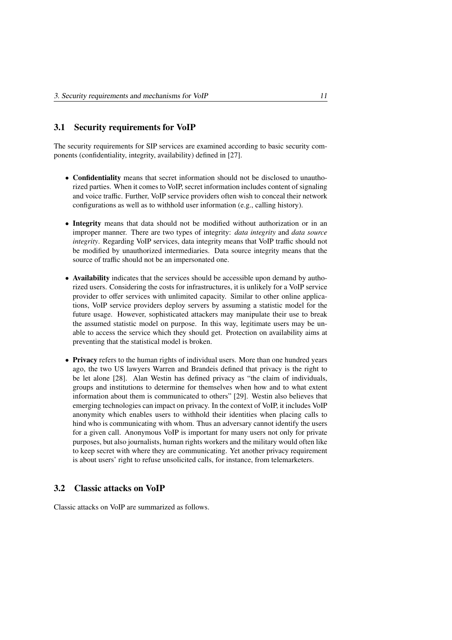## 3.1 Security requirements for VoIP

The security requirements for SIP services are examined according to basic security components (confidentiality, integrity, availability) defined in [27].

- Confidentiality means that secret information should not be disclosed to unauthorized parties. When it comes to VoIP, secret information includes content of signaling and voice traffic. Further, VoIP service providers often wish to conceal their network configurations as well as to withhold user information (e.g., calling history).
- Integrity means that data should not be modified without authorization or in an improper manner. There are two types of integrity: *data integrity* and *data source integrity*. Regarding VoIP services, data integrity means that VoIP traffic should not be modified by unauthorized intermediaries. Data source integrity means that the source of traffic should not be an impersonated one.
- Availability indicates that the services should be accessible upon demand by authorized users. Considering the costs for infrastructures, it is unlikely for a VoIP service provider to offer services with unlimited capacity. Similar to other online applications, VoIP service providers deploy servers by assuming a statistic model for the future usage. However, sophisticated attackers may manipulate their use to break the assumed statistic model on purpose. In this way, legitimate users may be unable to access the service which they should get. Protection on availability aims at preventing that the statistical model is broken.
- Privacy refers to the human rights of individual users. More than one hundred years ago, the two US lawyers Warren and Brandeis defined that privacy is the right to be let alone [28]. Alan Westin has defined privacy as "the claim of individuals, groups and institutions to determine for themselves when how and to what extent information about them is communicated to others" [29]. Westin also believes that emerging technologies can impact on privacy. In the context of VoIP, it includes VoIP anonymity which enables users to withhold their identities when placing calls to hind who is communicating with whom. Thus an adversary cannot identify the users for a given call. Anonymous VoIP is important for many users not only for private purposes, but also journalists, human rights workers and the military would often like to keep secret with where they are communicating. Yet another privacy requirement is about users' right to refuse unsolicited calls, for instance, from telemarketers.

## 3.2 Classic attacks on VoIP

Classic attacks on VoIP are summarized as follows.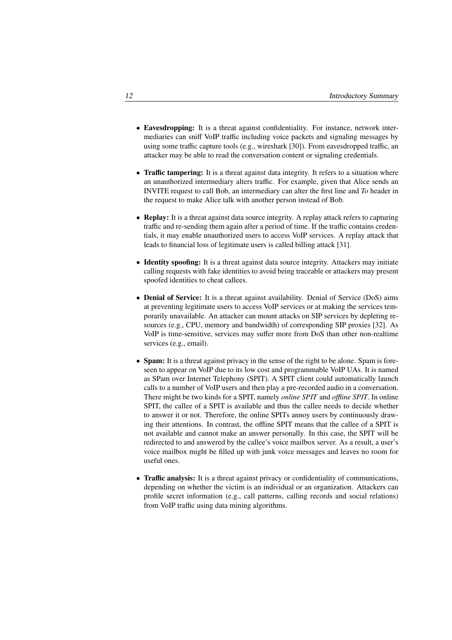- Eavesdropping: It is a threat against confidentiality. For instance, network intermediaries can sniff VoIP traffic including voice packets and signaling messages by using some traffic capture tools (e.g., wireshark [30]). From eavesdropped traffic, an attacker may be able to read the conversation content or signaling credentials.
- Traffic tampering: It is a threat against data integrity. It refers to a situation where an unauthorized intermediary alters traffic. For example, given that Alice sends an INVITE request to call Bob, an intermediary can alter the first line and *To* header in the request to make Alice talk with another person instead of Bob.
- Replay: It is a threat against data source integrity. A replay attack refers to capturing traffic and re-sending them again after a period of time. If the traffic contains credentials, it may enable unauthorized users to access VoIP services. A replay attack that leads to financial loss of legitimate users is called billing attack [31].
- Identity spoofing: It is a threat against data source integrity. Attackers may initiate calling requests with fake identities to avoid being traceable or attackers may present spoofed identities to cheat callees.
- Denial of Service: It is a threat against availability. Denial of Service (DoS) aims at preventing legitimate users to access VoIP services or at making the services temporarily unavailable. An attacker can mount attacks on SIP services by depleting resources (e.g., CPU, memory and bandwidth) of corresponding SIP proxies [32]. As VoIP is time-sensitive, services may suffer more from DoS than other non-realtime services (e.g., email).
- Spam: It is a threat against privacy in the sense of the right to be alone. Spam is foreseen to appear on VoIP due to its low cost and programmable VoIP UAs. It is named as SPam over Internet Telephony (SPIT). A SPIT client could automatically launch calls to a number of VoIP users and then play a pre-recorded audio in a conversation. There might be two kinds for a SPIT, namely *online SPIT* and *o*ffl*ine SPIT*. In online SPIT, the callee of a SPIT is available and thus the callee needs to decide whether to answer it or not. Therefore, the online SPITs annoy users by continuously drawing their attentions. In contrast, the offline SPIT means that the callee of a SPIT is not available and cannot make an answer personally. In this case, the SPIT will be redirected to and answered by the callee's voice mailbox server. As a result, a user's voice mailbox might be filled up with junk voice messages and leaves no room for useful ones.
- Traffic analysis: It is a threat against privacy or confidentiality of communications, depending on whether the victim is an individual or an organization. Attackers can profile secret information (e.g., call patterns, calling records and social relations) from VoIP traffic using data mining algorithms.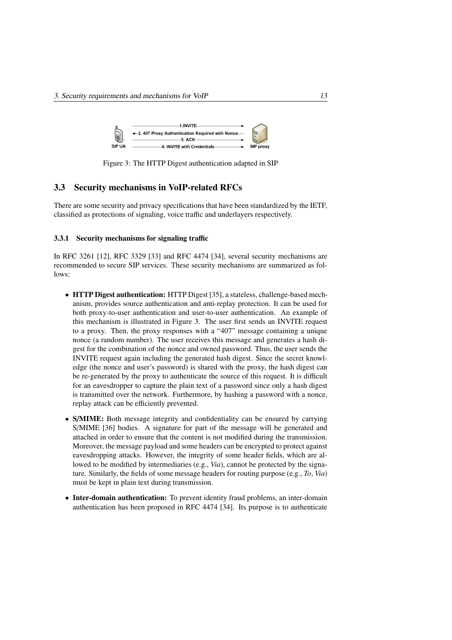

Figure 3: The HTTP Digest authentication adapted in SIP

## 3.3 Security mechanisms in VoIP-related RFCs

There are some security and privacy specifications that have been standardized by the IETF, classified as protections of signaling, voice traffic and underlayers respectively.

#### 3.3.1 Security mechanisms for signaling traffic

In RFC 3261 [12], RFC 3329 [33] and RFC 4474 [34], several security mechanisms are recommended to secure SIP services. These security mechanisms are summarized as follows:

- HTTP Digest authentication: HTTP Digest [35], a stateless, challenge-based mechanism, provides source authentication and anti-replay protection. It can be used for both proxy-to-user authentication and user-to-user authentication. An example of this mechanism is illustrated in Figure 3. The user first sends an INVITE request to a proxy. Then, the proxy responses with a "407" message containing a unique nonce (a random number). The user receives this message and generates a hash digest for the combination of the nonce and owned password. Thus, the user sends the INVITE request again including the generated hash digest. Since the secret knowledge (the nonce and user's password) is shared with the proxy, the hash digest can be re-generated by the proxy to authenticate the source of this request. It is difficult for an eavesdropper to capture the plain text of a password since only a hash digest is transmitted over the network. Furthermore, by hashing a password with a nonce, replay attack can be efficiently prevented.
- S/MIME: Both message integrity and confidentiality can be ensured by carrying S/MIME [36] bodies. A signature for part of the message will be generated and attached in order to ensure that the content is not modified during the transmission. Moreover, the message payload and some headers can be encrypted to protect against eavesdropping attacks. However, the integrity of some header fields, which are allowed to be modified by intermediaries (e.g., *Via*), cannot be protected by the signature. Similarly, the fields of some message headers for routing purpose (e.g., *To*, *Via*) must be kept in plain text during transmission.
- Inter-domain authentication: To prevent identity fraud problems, an inter-domain authentication has been proposed in RFC 4474 [34]. Its purpose is to authenticate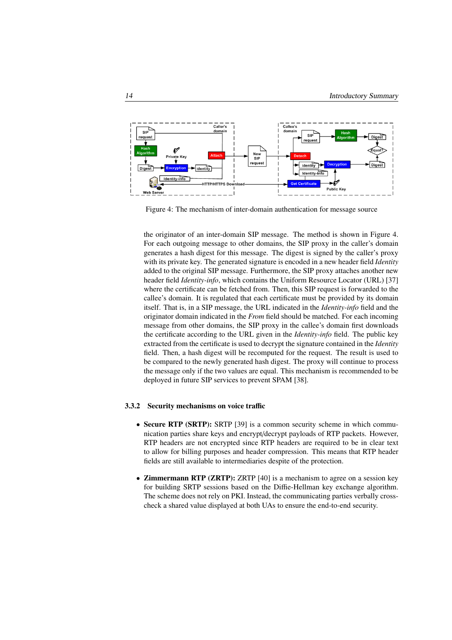

Figure 4: The mechanism of inter-domain authentication for message source

the originator of an inter-domain SIP message. The method is shown in Figure 4. For each outgoing message to other domains, the SIP proxy in the caller's domain generates a hash digest for this message. The digest is signed by the caller's proxy with its private key. The generated signature is encoded in a new header field *Identity* added to the original SIP message. Furthermore, the SIP proxy attaches another new header field *Identity-info*, which contains the Uniform Resource Locator (URL) [37] where the certificate can be fetched from. Then, this SIP request is forwarded to the callee's domain. It is regulated that each certificate must be provided by its domain itself. That is, in a SIP message, the URL indicated in the *Identity-info* field and the originator domain indicated in the *From* field should be matched. For each incoming message from other domains, the SIP proxy in the callee's domain first downloads the certificate according to the URL given in the *Identity-info* field. The public key extracted from the certificate is used to decrypt the signature contained in the *Identity* field. Then, a hash digest will be recomputed for the request. The result is used to be compared to the newly generated hash digest. The proxy will continue to process the message only if the two values are equal. This mechanism is recommended to be deployed in future SIP services to prevent SPAM [38].

#### 3.3.2 Security mechanisms on voice traffic

- Secure RTP (SRTP): SRTP [39] is a common security scheme in which communication parties share keys and encrypt/decrypt payloads of RTP packets. However, RTP headers are not encrypted since RTP headers are required to be in clear text to allow for billing purposes and header compression. This means that RTP header fields are still available to intermediaries despite of the protection.
- **Zimmermann RTP (ZRTP):** ZRTP [40] is a mechanism to agree on a session key for building SRTP sessions based on the Diffie-Hellman key exchange algorithm. The scheme does not rely on PKI. Instead, the communicating parties verbally crosscheck a shared value displayed at both UAs to ensure the end-to-end security.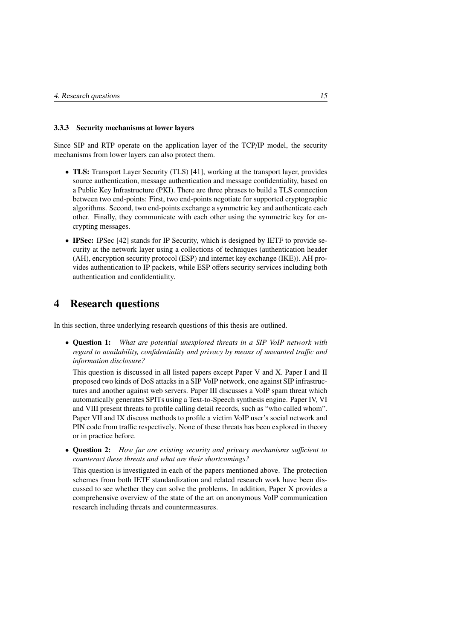#### 3.3.3 Security mechanisms at lower layers

Since SIP and RTP operate on the application layer of the TCP/IP model, the security mechanisms from lower layers can also protect them.

- TLS: Transport Layer Security (TLS) [41], working at the transport layer, provides source authentication, message authentication and message confidentiality, based on a Public Key Infrastructure (PKI). There are three phrases to build a TLS connection between two end-points: First, two end-points negotiate for supported cryptographic algorithms. Second, two end-points exchange a symmetric key and authenticate each other. Finally, they communicate with each other using the symmetric key for encrypting messages.
- **IPSec:** IPSec [42] stands for IP Security, which is designed by IETF to provide security at the network layer using a collections of techniques (authentication header (AH), encryption security protocol (ESP) and internet key exchange (IKE)). AH provides authentication to IP packets, while ESP offers security services including both authentication and confidentiality.

# 4 Research questions

In this section, three underlying research questions of this thesis are outlined.

• Question 1: *What are potential unexplored threats in a SIP VoIP network with regard to availability, confidentiality and privacy by means of unwanted traffic and information disclosure?*

This question is discussed in all listed papers except Paper V and X. Paper I and II proposed two kinds of DoS attacks in a SIP VoIP network, one against SIP infrastructures and another against web servers. Paper III discusses a VoIP spam threat which automatically generates SPITs using a Text-to-Speech synthesis engine. Paper IV, VI and VIII present threats to profile calling detail records, such as "who called whom". Paper VII and IX discuss methods to profile a victim VoIP user's social network and PIN code from traffic respectively. None of these threats has been explored in theory or in practice before.

• Question 2: *How far are existing security and privacy mechanisms su*ffi*cient to counteract these threats and what are their shortcomings?*

This question is investigated in each of the papers mentioned above. The protection schemes from both IETF standardization and related research work have been discussed to see whether they can solve the problems. In addition, Paper X provides a comprehensive overview of the state of the art on anonymous VoIP communication research including threats and countermeasures.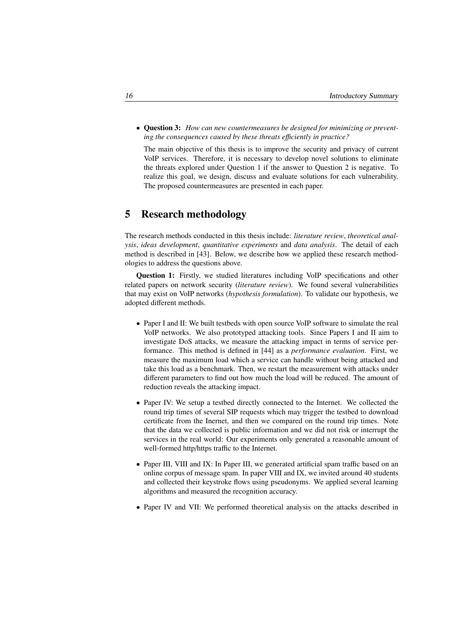• Question 3: *How can new countermeasures be designed for minimizing or preventing the consequences caused by these threats e*ffi*ciently in practice?*

The main objective of this thesis is to improve the security and privacy of current VoIP services. Therefore, it is necessary to develop novel solutions to eliminate the threats explored under Question 1 if the answer to Question 2 is negative. To realize this goal, we design, discuss and evaluate solutions for each vulnerability. The proposed countermeasures are presented in each paper.

# 5 Research methodology

The research methods conducted in this thesis include: *literature review*, *theoretical analysis*, *ideas development*, *quantitative experiments* and *data analysis*. The detail of each method is described in [43]. Below, we describe how we applied these research methodologies to address the questions above.

Question 1: Firstly, we studied literatures including VoIP specifications and other related papers on network security (*literature review*). We found several vulnerabilities that may exist on VoIP networks (*hypothesis formulation*). To validate our hypothesis, we adopted different methods.

- Paper I and II: We built testbeds with open source VoIP software to simulate the real VoIP networks. We also prototyped attacking tools. Since Papers I and II aim to investigate DoS attacks, we measure the attacking impact in terms of service performance. This method is defined in [44] as a *performance evaluation*. First, we measure the maximum load which a service can handle without being attacked and take this load as a benchmark. Then, we restart the measurement with attacks under different parameters to find out how much the load will be reduced. The amount of reduction reveals the attacking impact.
- Paper IV: We setup a testbed directly connected to the Internet. We collected the round trip times of several SIP requests which may trigger the testbed to download certificate from the Inernet, and then we compared on the round trip times. Note that the data we collected is public information and we did not risk or interrupt the services in the real world: Our experiments only generated a reasonable amount of well-formed http/https traffic to the Internet.
- Paper III, VIII and IX: In Paper III, we generated artificial spam traffic based on an online corpus of message spam. In paper VIII and IX, we invited around 40 students and collected their keystroke flows using pseudonyms. We applied several learning algorithms and measured the recognition accuracy.
- Paper IV and VII: We performed theoretical analysis on the attacks described in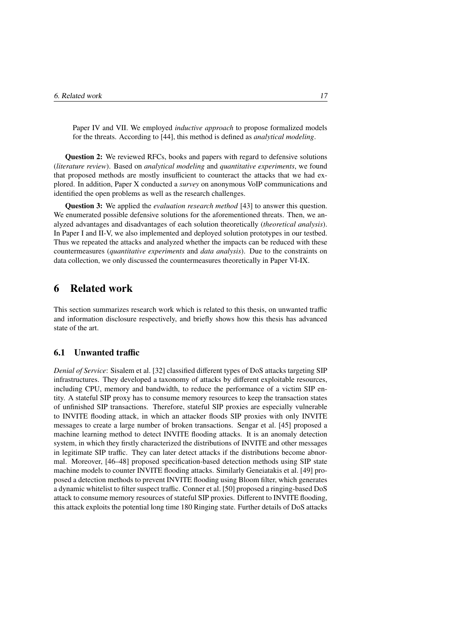Paper IV and VII. We employed *inductive approach* to propose formalized models for the threats. According to [44], this method is defined as *analytical modeling*.

Question 2: We reviewed RFCs, books and papers with regard to defensive solutions (*literature review*). Based on *analytical modeling* and *quantitative experiments*, we found that proposed methods are mostly insufficient to counteract the attacks that we had explored. In addition, Paper X conducted a *survey* on anonymous VoIP communications and identified the open problems as well as the research challenges.

Question 3: We applied the *evaluation research method* [43] to answer this question. We enumerated possible defensive solutions for the aforementioned threats. Then, we analyzed advantages and disadvantages of each solution theoretically (*theoretical analysis*). In Paper I and II-V, we also implemented and deployed solution prototypes in our testbed. Thus we repeated the attacks and analyzed whether the impacts can be reduced with these countermeasures (*quantitative experiments* and *data analysis*). Due to the constraints on data collection, we only discussed the countermeasures theoretically in Paper VI-IX.

# 6 Related work

This section summarizes research work which is related to this thesis, on unwanted traffic and information disclosure respectively, and briefly shows how this thesis has advanced state of the art.

## 6.1 Unwanted traffic

*Denial of Service*: Sisalem et al. [32] classified different types of DoS attacks targeting SIP infrastructures. They developed a taxonomy of attacks by different exploitable resources, including CPU, memory and bandwidth, to reduce the performance of a victim SIP entity. A stateful SIP proxy has to consume memory resources to keep the transaction states of unfinished SIP transactions. Therefore, stateful SIP proxies are especially vulnerable to INVITE flooding attack, in which an attacker floods SIP proxies with only INVITE messages to create a large number of broken transactions. Sengar et al. [45] proposed a machine learning method to detect INVITE flooding attacks. It is an anomaly detection system, in which they firstly characterized the distributions of INVITE and other messages in legitimate SIP traffic. They can later detect attacks if the distributions become abnormal. Moreover, [46–48] proposed specification-based detection methods using SIP state machine models to counter INVITE flooding attacks. Similarly Geneiatakis et al. [49] proposed a detection methods to prevent INVITE flooding using Bloom filter, which generates a dynamic whitelist to filter suspect traffic. Conner et al. [50] proposed a ringing-based DoS attack to consume memory resources of stateful SIP proxies. Different to INVITE flooding, this attack exploits the potential long time 180 Ringing state. Further details of DoS attacks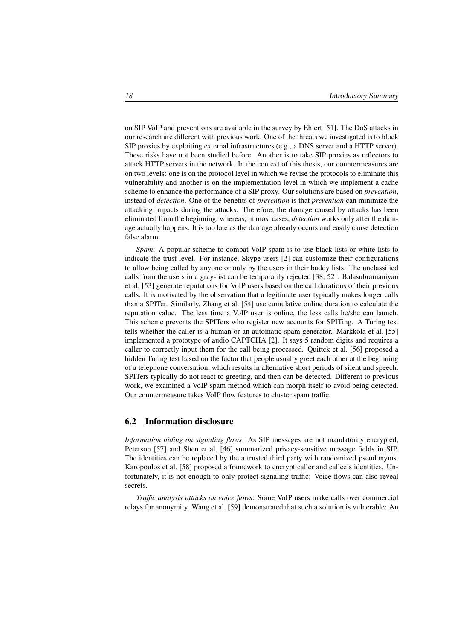on SIP VoIP and preventions are available in the survey by Ehlert [51]. The DoS attacks in our research are different with previous work. One of the threats we investigated is to block SIP proxies by exploiting external infrastructures (e.g., a DNS server and a HTTP server). These risks have not been studied before. Another is to take SIP proxies as reflectors to attack HTTP servers in the network. In the context of this thesis, our countermeasures are on two levels: one is on the protocol level in which we revise the protocols to eliminate this vulnerability and another is on the implementation level in which we implement a cache scheme to enhance the performance of a SIP proxy. Our solutions are based on *prevention*, instead of *detection*. One of the benefits of *prevention* is that *prevention* can minimize the attacking impacts during the attacks. Therefore, the damage caused by attacks has been eliminated from the beginning, whereas, in most cases, *detection* works only after the damage actually happens. It is too late as the damage already occurs and easily cause detection false alarm.

*Spam*: A popular scheme to combat VoIP spam is to use black lists or white lists to indicate the trust level. For instance, Skype users [2] can customize their configurations to allow being called by anyone or only by the users in their buddy lists. The unclassified calls from the users in a gray-list can be temporarily rejected [38, 52]. Balasubramaniyan et al. [53] generate reputations for VoIP users based on the call durations of their previous calls. It is motivated by the observation that a legitimate user typically makes longer calls than a SPITer. Similarly, Zhang et al. [54] use cumulative online duration to calculate the reputation value. The less time a VoIP user is online, the less calls he/she can launch. This scheme prevents the SPITers who register new accounts for SPITing. A Turing test tells whether the caller is a human or an automatic spam generator. Markkola et al. [55] implemented a prototype of audio CAPTCHA [2]. It says 5 random digits and requires a caller to correctly input them for the call being processed. Quittek et al. [56] proposed a hidden Turing test based on the factor that people usually greet each other at the beginning of a telephone conversation, which results in alternative short periods of silent and speech. SPITers typically do not react to greeting, and then can be detected. Different to previous work, we examined a VoIP spam method which can morph itself to avoid being detected. Our countermeasure takes VoIP flow features to cluster spam traffic.

#### 6.2 Information disclosure

*Information hiding on signaling flows*: As SIP messages are not mandatorily encrypted, Peterson [57] and Shen et al. [46] summarized privacy-sensitive message fields in SIP. The identities can be replaced by the a trusted third party with randomized pseudonyms. Karopoulos et al. [58] proposed a framework to encrypt caller and callee's identities. Unfortunately, it is not enough to only protect signaling traffic: Voice flows can also reveal secrets.

*Tra*ffi*c analysis attacks on voice flows*: Some VoIP users make calls over commercial relays for anonymity. Wang et al. [59] demonstrated that such a solution is vulnerable: An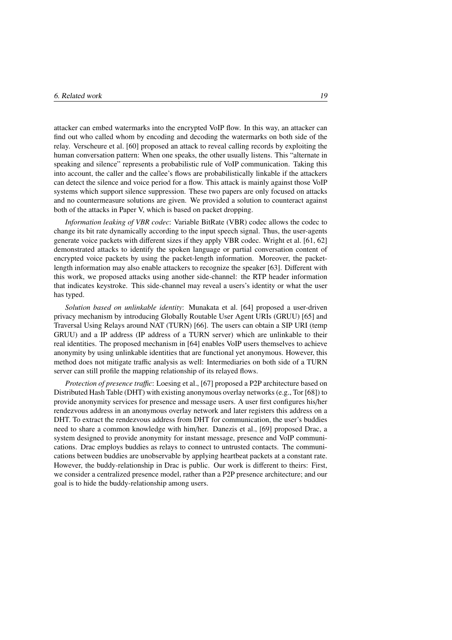attacker can embed watermarks into the encrypted VoIP flow. In this way, an attacker can find out who called whom by encoding and decoding the watermarks on both side of the relay. Verscheure et al. [60] proposed an attack to reveal calling records by exploiting the human conversation pattern: When one speaks, the other usually listens. This "alternate in speaking and silence" represents a probabilistic rule of VoIP communication. Taking this into account, the caller and the callee's flows are probabilistically linkable if the attackers can detect the silence and voice period for a flow. This attack is mainly against those VoIP systems which support silence suppression. These two papers are only focused on attacks and no countermeasure solutions are given. We provided a solution to counteract against both of the attacks in Paper V, which is based on packet dropping.

*Information leaking of VBR codec*: Variable BitRate (VBR) codec allows the codec to change its bit rate dynamically according to the input speech signal. Thus, the user-agents generate voice packets with different sizes if they apply VBR codec. Wright et al. [61, 62] demonstrated attacks to identify the spoken language or partial conversation content of encrypted voice packets by using the packet-length information. Moreover, the packetlength information may also enable attackers to recognize the speaker [63]. Different with this work, we proposed attacks using another side-channel: the RTP header information that indicates keystroke. This side-channel may reveal a users's identity or what the user has typed.

*Solution based on unlinkable identity*: Munakata et al. [64] proposed a user-driven privacy mechanism by introducing Globally Routable User Agent URIs (GRUU) [65] and Traversal Using Relays around NAT (TURN) [66]. The users can obtain a SIP URI (temp GRUU) and a IP address (IP address of a TURN server) which are unlinkable to their real identities. The proposed mechanism in [64] enables VoIP users themselves to achieve anonymity by using unlinkable identities that are functional yet anonymous. However, this method does not mitigate traffic analysis as well: Intermediaries on both side of a TURN server can still profile the mapping relationship of its relayed flows.

*Protection of presence tra*ffi*c*: Loesing et al., [67] proposed a P2P architecture based on Distributed Hash Table (DHT) with existing anonymous overlay networks (e.g., Tor [68]) to provide anonymity services for presence and message users. A user first configures his/her rendezvous address in an anonymous overlay network and later registers this address on a DHT. To extract the rendezvous address from DHT for communication, the user's buddies need to share a common knowledge with him/her. Danezis et al., [69] proposed Drac, a system designed to provide anonymity for instant message, presence and VoIP communications. Drac employs buddies as relays to connect to untrusted contacts. The communications between buddies are unobservable by applying heartbeat packets at a constant rate. However, the buddy-relationship in Drac is public. Our work is different to theirs: First, we consider a centralized presence model, rather than a P2P presence architecture; and our goal is to hide the buddy-relationship among users.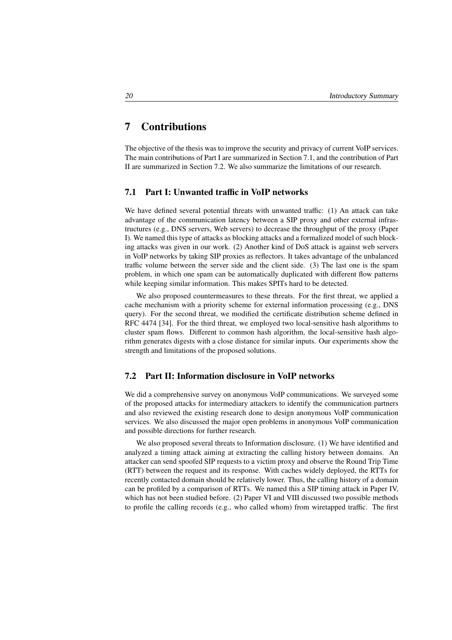# 7 Contributions

The objective of the thesis was to improve the security and privacy of current VoIP services. The main contributions of Part I are summarized in Section 7.1, and the contribution of Part II are summarized in Section 7.2. We also summarize the limitations of our research.

## 7.1 Part I: Unwanted traffic in VoIP networks

We have defined several potential threats with unwanted traffic: (1) An attack can take advantage of the communication latency between a SIP proxy and other external infrastructures (e.g., DNS servers, Web servers) to decrease the throughput of the proxy (Paper I). We named this type of attacks as blocking attacks and a formalized model of such blocking attacks was given in our work. (2) Another kind of DoS attack is against web servers in VoIP networks by taking SIP proxies as reflectors. It takes advantage of the unbalanced traffic volume between the server side and the client side. (3) The last one is the spam problem, in which one spam can be automatically duplicated with different flow patterns while keeping similar information. This makes SPITs hard to be detected.

We also proposed countermeasures to these threats. For the first threat, we applied a cache mechanism with a priority scheme for external information processing (e.g., DNS query). For the second threat, we modified the certificate distribution scheme defined in RFC 4474 [34]. For the third threat, we employed two local-sensitive hash algorithms to cluster spam flows. Different to common hash algorithm, the local-sensitive hash algorithm generates digests with a close distance for similar inputs. Our experiments show the strength and limitations of the proposed solutions.

#### 7.2 Part II: Information disclosure in VoIP networks

We did a comprehensive survey on anonymous VoIP communications. We surveyed some of the proposed attacks for intermediary attackers to identify the communication partners and also reviewed the existing research done to design anonymous VoIP communication services. We also discussed the major open problems in anonymous VoIP communication and possible directions for further research.

We also proposed several threats to Information disclosure. (1) We have identified and analyzed a timing attack aiming at extracting the calling history between domains. An attacker can send spoofed SIP requests to a victim proxy and observe the Round Trip Time (RTT) between the request and its response. With caches widely deployed, the RTTs for recently contacted domain should be relatively lower. Thus, the calling history of a domain can be profiled by a comparison of RTTs. We named this a SIP timing attack in Paper IV, which has not been studied before. (2) Paper VI and VIII discussed two possible methods to profile the calling records (e.g., who called whom) from wiretapped traffic. The first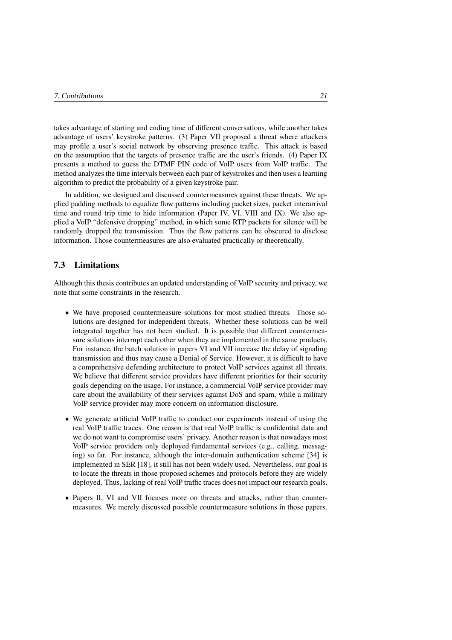takes advantage of starting and ending time of different conversations, while another takes advantage of users' keystroke patterns. (3) Paper VII proposed a threat where attackers may profile a user's social network by observing presence traffic. This attack is based on the assumption that the targets of presence traffic are the user's friends. (4) Paper IX presents a method to guess the DTMF PIN code of VoIP users from VoIP traffic. The method analyzes the time intervals between each pair of keystrokes and then uses a learning algorithm to predict the probability of a given keystroke pair.

In addition, we designed and discussed countermeasures against these threats. We applied padding methods to equalize flow patterns including packet sizes, packet interarrival time and round trip time to hide information (Paper IV, VI, VIII and IX). We also applied a VoIP "defensive dropping" method, in which some RTP packets for silence will be randomly dropped the transmission. Thus the flow patterns can be obscured to disclose information. Those countermeasures are also evaluated practically or theoretically.

## 7.3 Limitations

Although this thesis contributes an updated understanding of VoIP security and privacy, we note that some constraints in the research.

- We have proposed countermeasure solutions for most studied threats. Those solutions are designed for independent threats. Whether these solutions can be well integrated together has not been studied. It is possible that different countermeasure solutions interrupt each other when they are implemented in the same products. For instance, the batch solution in papers VI and VII increase the delay of signaling transmission and thus may cause a Denial of Service. However, it is difficult to have a comprehensive defending architecture to protect VoIP services against all threats. We believe that different service providers have different priorities for their security goals depending on the usage. For instance, a commercial VoIP service provider may care about the availability of their services against DoS and spam, while a military VoIP service provider may more concern on information disclosure.
- We generate artificial VoIP traffic to conduct our experiments instead of using the real VoIP traffic traces. One reason is that real VoIP traffic is confidential data and we do not want to compromise users' privacy. Another reason is that nowadays most VoIP service providers only deployed fundamental services (e.g., calling, messaging) so far. For instance, although the inter-domain authentication scheme [34] is implemented in SER [18], it still has not been widely used. Nevertheless, our goal is to locate the threats in those proposed schemes and protocols before they are widely deployed. Thus, lacking of real VoIP traffic traces does not impact our research goals.
- Papers II, VI and VII focuses more on threats and attacks, rather than countermeasures. We merely discussed possible countermeasure solutions in those papers.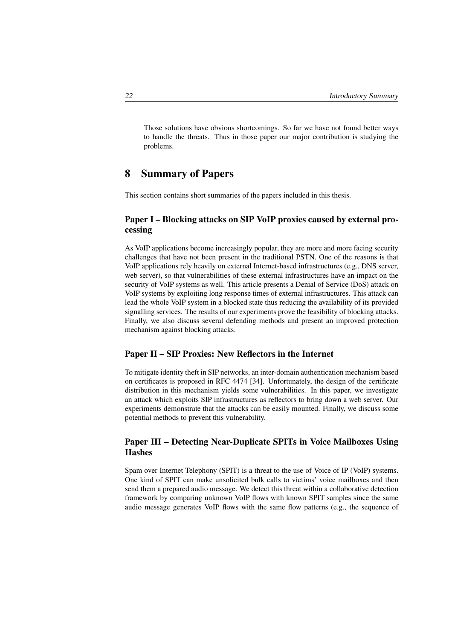Those solutions have obvious shortcomings. So far we have not found better ways to handle the threats. Thus in those paper our major contribution is studying the problems.

# 8 Summary of Papers

This section contains short summaries of the papers included in this thesis.

# Paper I – Blocking attacks on SIP VoIP proxies caused by external processing

As VoIP applications become increasingly popular, they are more and more facing security challenges that have not been present in the traditional PSTN. One of the reasons is that VoIP applications rely heavily on external Internet-based infrastructures (e.g., DNS server, web server), so that vulnerabilities of these external infrastructures have an impact on the security of VoIP systems as well. This article presents a Denial of Service (DoS) attack on VoIP systems by exploiting long response times of external infrastructures. This attack can lead the whole VoIP system in a blocked state thus reducing the availability of its provided signalling services. The results of our experiments prove the feasibility of blocking attacks. Finally, we also discuss several defending methods and present an improved protection mechanism against blocking attacks.

## Paper II – SIP Proxies: New Reflectors in the Internet

To mitigate identity theft in SIP networks, an inter-domain authentication mechanism based on certificates is proposed in RFC 4474 [34]. Unfortunately, the design of the certificate distribution in this mechanism yields some vulnerabilities. In this paper, we investigate an attack which exploits SIP infrastructures as reflectors to bring down a web server. Our experiments demonstrate that the attacks can be easily mounted. Finally, we discuss some potential methods to prevent this vulnerability.

# Paper III – Detecting Near-Duplicate SPITs in Voice Mailboxes Using Hashes

Spam over Internet Telephony (SPIT) is a threat to the use of Voice of IP (VoIP) systems. One kind of SPIT can make unsolicited bulk calls to victims' voice mailboxes and then send them a prepared audio message. We detect this threat within a collaborative detection framework by comparing unknown VoIP flows with known SPIT samples since the same audio message generates VoIP flows with the same flow patterns (e.g., the sequence of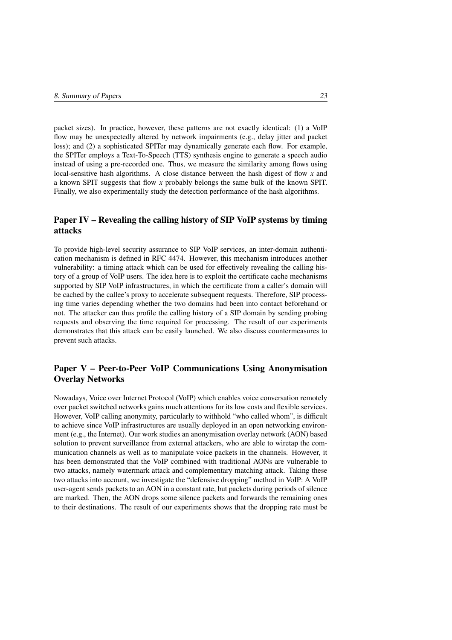packet sizes). In practice, however, these patterns are not exactly identical: (1) a VoIP flow may be unexpectedly altered by network impairments (e.g., delay jitter and packet loss); and (2) a sophisticated SPITer may dynamically generate each flow. For example, the SPITer employs a Text-To-Speech (TTS) synthesis engine to generate a speech audio instead of using a pre-recorded one. Thus, we measure the similarity among flows using local-sensitive hash algorithms. A close distance between the hash digest of flow *x* and a known SPIT suggests that flow *x* probably belongs the same bulk of the known SPIT. Finally, we also experimentally study the detection performance of the hash algorithms.

# Paper IV – Revealing the calling history of SIP VoIP systems by timing attacks

To provide high-level security assurance to SIP VoIP services, an inter-domain authentication mechanism is defined in RFC 4474. However, this mechanism introduces another vulnerability: a timing attack which can be used for effectively revealing the calling history of a group of VoIP users. The idea here is to exploit the certificate cache mechanisms supported by SIP VoIP infrastructures, in which the certificate from a caller's domain will be cached by the callee's proxy to accelerate subsequent requests. Therefore, SIP processing time varies depending whether the two domains had been into contact beforehand or not. The attacker can thus profile the calling history of a SIP domain by sending probing requests and observing the time required for processing. The result of our experiments demonstrates that this attack can be easily launched. We also discuss countermeasures to prevent such attacks.

# Paper V – Peer-to-Peer VoIP Communications Using Anonymisation Overlay Networks

Nowadays, Voice over Internet Protocol (VoIP) which enables voice conversation remotely over packet switched networks gains much attentions for its low costs and flexible services. However, VoIP calling anonymity, particularly to withhold "who called whom", is difficult to achieve since VoIP infrastructures are usually deployed in an open networking environment (e.g., the Internet). Our work studies an anonymisation overlay network (AON) based solution to prevent surveillance from external attackers, who are able to wiretap the communication channels as well as to manipulate voice packets in the channels. However, it has been demonstrated that the VoIP combined with traditional AONs are vulnerable to two attacks, namely watermark attack and complementary matching attack. Taking these two attacks into account, we investigate the "defensive dropping" method in VoIP: A VoIP user-agent sends packets to an AON in a constant rate, but packets during periods of silence are marked. Then, the AON drops some silence packets and forwards the remaining ones to their destinations. The result of our experiments shows that the dropping rate must be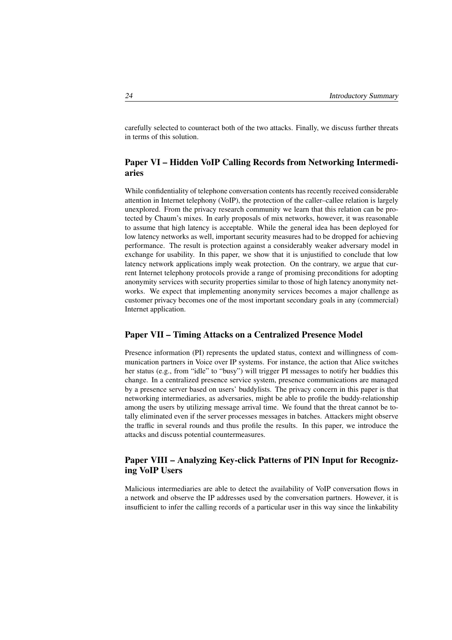carefully selected to counteract both of the two attacks. Finally, we discuss further threats in terms of this solution.

# Paper VI – Hidden VoIP Calling Records from Networking Intermediaries

While confidentiality of telephone conversation contents has recently received considerable attention in Internet telephony (VoIP), the protection of the caller–callee relation is largely unexplored. From the privacy research community we learn that this relation can be protected by Chaum's mixes. In early proposals of mix networks, however, it was reasonable to assume that high latency is acceptable. While the general idea has been deployed for low latency networks as well, important security measures had to be dropped for achieving performance. The result is protection against a considerably weaker adversary model in exchange for usability. In this paper, we show that it is unjustified to conclude that low latency network applications imply weak protection. On the contrary, we argue that current Internet telephony protocols provide a range of promising preconditions for adopting anonymity services with security properties similar to those of high latency anonymity networks. We expect that implementing anonymity services becomes a major challenge as customer privacy becomes one of the most important secondary goals in any (commercial) Internet application.

#### Paper VII – Timing Attacks on a Centralized Presence Model

Presence information (PI) represents the updated status, context and willingness of communication partners in Voice over IP systems. For instance, the action that Alice switches her status (e.g., from "idle" to "busy") will trigger PI messages to notify her buddies this change. In a centralized presence service system, presence communications are managed by a presence server based on users' buddylists. The privacy concern in this paper is that networking intermediaries, as adversaries, might be able to profile the buddy-relationship among the users by utilizing message arrival time. We found that the threat cannot be totally eliminated even if the server processes messages in batches. Attackers might observe the traffic in several rounds and thus profile the results. In this paper, we introduce the attacks and discuss potential countermeasures.

## Paper VIII – Analyzing Key-click Patterns of PIN Input for Recognizing VoIP Users

Malicious intermediaries are able to detect the availability of VoIP conversation flows in a network and observe the IP addresses used by the conversation partners. However, it is insufficient to infer the calling records of a particular user in this way since the linkability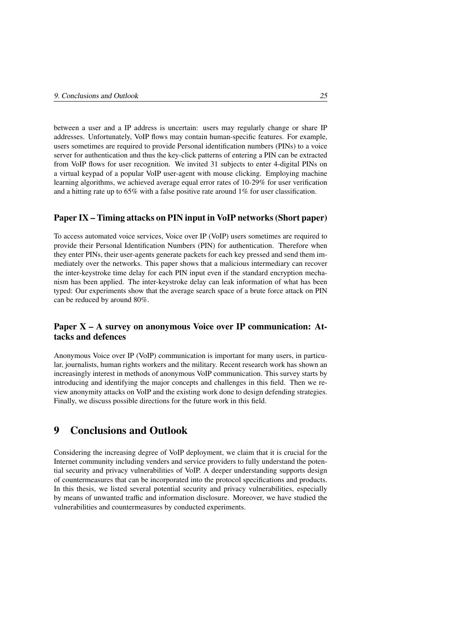between a user and a IP address is uncertain: users may regularly change or share IP addresses. Unfortunately, VoIP flows may contain human-specific features. For example, users sometimes are required to provide Personal identification numbers (PINs) to a voice server for authentication and thus the key-click patterns of entering a PIN can be extracted from VoIP flows for user recognition. We invited 31 subjects to enter 4-digital PINs on a virtual keypad of a popular VoIP user-agent with mouse clicking. Employing machine learning algorithms, we achieved average equal error rates of 10-29% for user verification and a hitting rate up to 65% with a false positive rate around 1% for user classification.

#### Paper IX – Timing attacks on PIN input in VoIP networks (Short paper)

To access automated voice services, Voice over IP (VoIP) users sometimes are required to provide their Personal Identification Numbers (PIN) for authentication. Therefore when they enter PINs, their user-agents generate packets for each key pressed and send them immediately over the networks. This paper shows that a malicious intermediary can recover the inter-keystroke time delay for each PIN input even if the standard encryption mechanism has been applied. The inter-keystroke delay can leak information of what has been typed: Our experiments show that the average search space of a brute force attack on PIN can be reduced by around 80%.

## Paper X – A survey on anonymous Voice over IP communication: Attacks and defences

Anonymous Voice over IP (VoIP) communication is important for many users, in particular, journalists, human rights workers and the military. Recent research work has shown an increasingly interest in methods of anonymous VoIP communication. This survey starts by introducing and identifying the major concepts and challenges in this field. Then we review anonymity attacks on VoIP and the existing work done to design defending strategies. Finally, we discuss possible directions for the future work in this field.

# 9 Conclusions and Outlook

Considering the increasing degree of VoIP deployment, we claim that it is crucial for the Internet community including venders and service providers to fully understand the potential security and privacy vulnerabilities of VoIP. A deeper understanding supports design of countermeasures that can be incorporated into the protocol specifications and products. In this thesis, we listed several potential security and privacy vulnerabilities, especially by means of unwanted traffic and information disclosure. Moreover, we have studied the vulnerabilities and countermeasures by conducted experiments.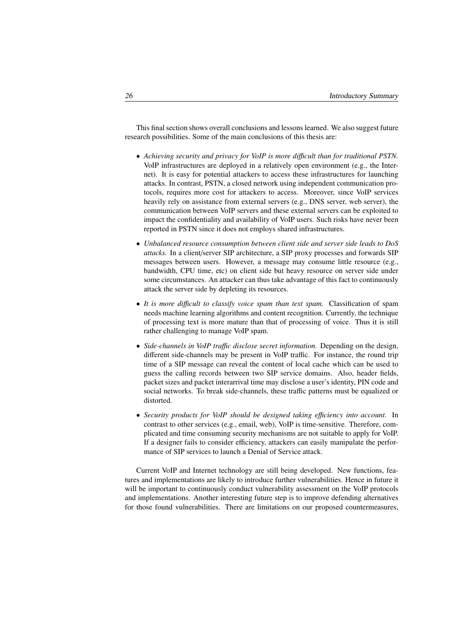This final section shows overall conclusions and lessons learned. We also suggest future research possibilities. Some of the main conclusions of this thesis are:

- *Achieving security and privacy for VoIP is more di*ffi*cult than for traditional PSTN.* VoIP infrastructures are deployed in a relatively open environment (e.g., the Internet). It is easy for potential attackers to access these infrastructures for launching attacks. In contrast, PSTN, a closed network using independent communication protocols, requires more cost for attackers to access. Moreover, since VoIP services heavily rely on assistance from external servers (e.g., DNS server, web server), the communication between VoIP servers and these external servers can be exploited to impact the confidentiality and availability of VoIP users. Such risks have never been reported in PSTN since it does not employs shared infrastructures.
- *Unbalanced resource consumption between client side and server side leads to DoS attacks.* In a client/server SIP architecture, a SIP proxy processes and forwards SIP messages between users. However, a message may consume little resource (e.g., bandwidth, CPU time, etc) on client side but heavy resource on server side under some circumstances. An attacker can thus take advantage of this fact to continuously attack the server side by depleting its resources.
- *It is more di*ffi*cult to classify voice spam than text spam.* Classification of spam needs machine learning algorithms and content recognition. Currently, the technique of processing text is more mature than that of processing of voice. Thus it is still rather challenging to manage VoIP spam.
- *Side-channels in VoIP tra*ffi*c disclose secret information.* Depending on the design, different side-channels may be present in VoIP traffic. For instance, the round trip time of a SIP message can reveal the content of local cache which can be used to guess the calling records between two SIP service domains. Also, header fields, packet sizes and packet interarrival time may disclose a user's identity, PIN code and social networks. To break side-channels, these traffic patterns must be equalized or distorted.
- Security products for VoIP should be designed taking efficiency into account. In contrast to other services (e.g., email, web), VoIP is time-sensitive. Therefore, complicated and time consuming security mechanisms are not suitable to apply for VoIP. If a designer fails to consider efficiency, attackers can easily manipulate the performance of SIP services to launch a Denial of Service attack.

Current VoIP and Internet technology are still being developed. New functions, features and implementations are likely to introduce further vulnerabilities. Hence in future it will be important to continuously conduct vulnerability assessment on the VoIP protocols and implementations. Another interesting future step is to improve defending alternatives for those found vulnerabilities. There are limitations on our proposed countermeasures,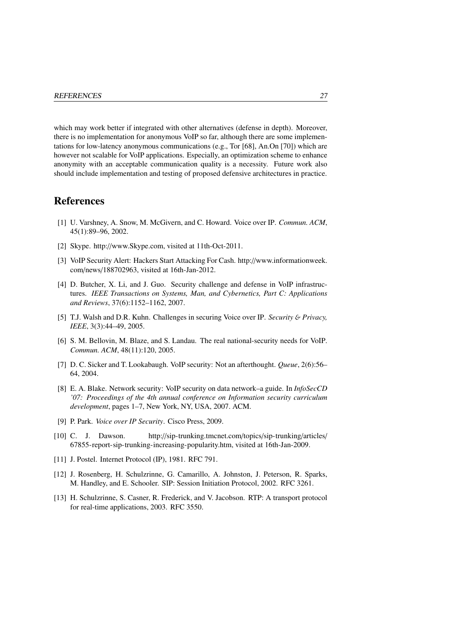which may work better if integrated with other alternatives (defense in depth). Moreover, there is no implementation for anonymous VoIP so far, although there are some implementations for low-latency anonymous communications (e.g., Tor [68], An.On [70]) which are however not scalable for VoIP applications. Especially, an optimization scheme to enhance anonymity with an acceptable communication quality is a necessity. Future work also should include implementation and testing of proposed defensive architectures in practice.

# References

- [1] U. Varshney, A. Snow, M. McGivern, and C. Howard. Voice over IP. *Commun. ACM*, 45(1):89–96, 2002.
- [2] Skype. http://www.Skype.com, visited at 11th-Oct-2011.
- [3] VoIP Security Alert: Hackers Start Attacking For Cash. http://www.informationweek. com/news/188702963, visited at 16th-Jan-2012.
- [4] D. Butcher, X. Li, and J. Guo. Security challenge and defense in VoIP infrastructures. *IEEE Transactions on Systems, Man, and Cybernetics, Part C: Applications and Reviews*, 37(6):1152–1162, 2007.
- [5] T.J. Walsh and D.R. Kuhn. Challenges in securing Voice over IP. *Security* & *Privacy, IEEE*, 3(3):44–49, 2005.
- [6] S. M. Bellovin, M. Blaze, and S. Landau. The real national-security needs for VoIP. *Commun. ACM*, 48(11):120, 2005.
- [7] D. C. Sicker and T. Lookabaugh. VoIP security: Not an afterthought. *Queue*, 2(6):56– 64, 2004.
- [8] E. A. Blake. Network security: VoIP security on data network–a guide. In *InfoSecCD '07: Proceedings of the 4th annual conference on Information security curriculum development*, pages 1–7, New York, NY, USA, 2007. ACM.
- [9] P. Park. *Voice over IP Security*. Cisco Press, 2009.
- [10] C. J. Dawson. http://sip-trunking.tmcnet.com/topics/sip-trunking/articles/ 67855-report-sip-trunking-increasing-popularity.htm, visited at 16th-Jan-2009.
- [11] J. Postel. Internet Protocol (IP), 1981. RFC 791.
- [12] J. Rosenberg, H. Schulzrinne, G. Camarillo, A. Johnston, J. Peterson, R. Sparks, M. Handley, and E. Schooler. SIP: Session Initiation Protocol, 2002. RFC 3261.
- [13] H. Schulzrinne, S. Casner, R. Frederick, and V. Jacobson. RTP: A transport protocol for real-time applications, 2003. RFC 3550.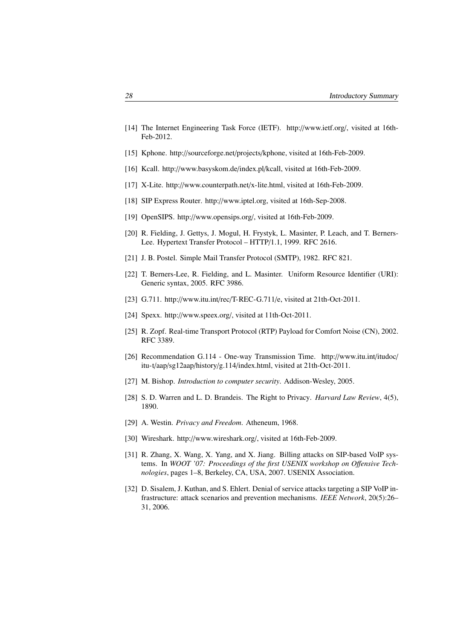- [14] The Internet Engineering Task Force (IETF). http://www.ietf.org/, visited at 16th-Feb-2012.
- [15] Kphone. http://sourceforge.net/projects/kphone, visited at 16th-Feb-2009.
- [16] Kcall. http://www.basyskom.de/index.pl/kcall, visited at 16th-Feb-2009.
- [17] X-Lite. http://www.counterpath.net/x-lite.html, visited at 16th-Feb-2009.
- [18] SIP Express Router. http://www.iptel.org, visited at 16th-Sep-2008.
- [19] OpenSIPS. http://www.opensips.org/, visited at 16th-Feb-2009.
- [20] R. Fielding, J. Gettys, J. Mogul, H. Frystyk, L. Masinter, P. Leach, and T. Berners-Lee. Hypertext Transfer Protocol – HTTP/1.1, 1999. RFC 2616.
- [21] J. B. Postel. Simple Mail Transfer Protocol (SMTP), 1982. RFC 821.
- [22] T. Berners-Lee, R. Fielding, and L. Masinter. Uniform Resource Identifier (URI): Generic syntax, 2005. RFC 3986.
- [23] G.711. http://www.itu.int/rec/T-REC-G.711/e, visited at 21th-Oct-2011.
- [24] Spexx. http://www.speex.org/, visited at 11th-Oct-2011.
- [25] R. Zopf. Real-time Transport Protocol (RTP) Payload for Comfort Noise (CN), 2002. RFC 3389.
- [26] Recommendation G.114 One-way Transmission Time. http://www.itu.int/itudoc/ itu-t/aap/sg12aap/history/g.114/index.html, visited at 21th-Oct-2011.
- [27] M. Bishop. *Introduction to computer security*. Addison-Wesley, 2005.
- [28] S. D. Warren and L. D. Brandeis. The Right to Privacy. *Harvard Law Review*, 4(5), 1890.
- [29] A. Westin. *Privacy and Freedom*. Atheneum, 1968.
- [30] Wireshark. http://www.wireshark.org/, visited at 16th-Feb-2009.
- [31] R. Zhang, X. Wang, X. Yang, and X. Jiang. Billing attacks on SIP-based VoIP systems. In *WOOT '07: Proceedings of the first USENIX workshop on O*ff*ensive Technologies*, pages 1–8, Berkeley, CA, USA, 2007. USENIX Association.
- [32] D. Sisalem, J. Kuthan, and S. Ehlert. Denial of service attacks targeting a SIP VoIP infrastructure: attack scenarios and prevention mechanisms. *IEEE Network*, 20(5):26– 31, 2006.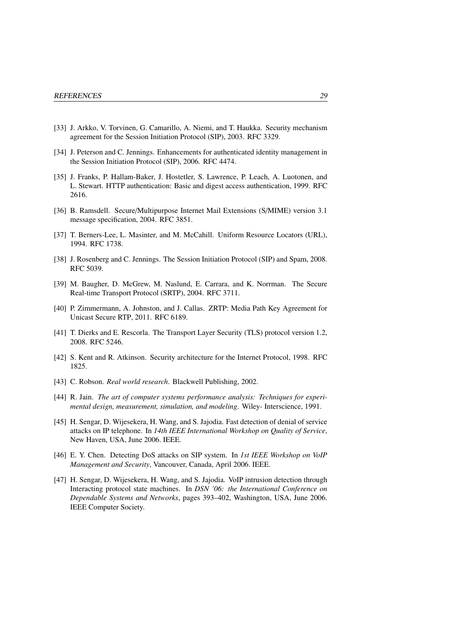- [33] J. Arkko, V. Torvinen, G. Camarillo, A. Niemi, and T. Haukka. Security mechanism agreement for the Session Initiation Protocol (SIP), 2003. RFC 3329.
- [34] J. Peterson and C. Jennings. Enhancements for authenticated identity management in the Session Initiation Protocol (SIP), 2006. RFC 4474.
- [35] J. Franks, P. Hallam-Baker, J. Hostetler, S. Lawrence, P. Leach, A. Luotonen, and L. Stewart. HTTP authentication: Basic and digest access authentication, 1999. RFC 2616.
- [36] B. Ramsdell. Secure/Multipurpose Internet Mail Extensions (S/MIME) version 3.1 message specification, 2004. RFC 3851.
- [37] T. Berners-Lee, L. Masinter, and M. McCahill. Uniform Resource Locators (URL), 1994. RFC 1738.
- [38] J. Rosenberg and C. Jennings. The Session Initiation Protocol (SIP) and Spam, 2008. RFC 5039.
- [39] M. Baugher, D. McGrew, M. Naslund, E. Carrara, and K. Norrman. The Secure Real-time Transport Protocol (SRTP), 2004. RFC 3711.
- [40] P. Zimmermann, A. Johnston, and J. Callas. ZRTP: Media Path Key Agreement for Unicast Secure RTP, 2011. RFC 6189.
- [41] T. Dierks and E. Rescorla. The Transport Layer Security (TLS) protocol version 1.2, 2008. RFC 5246.
- [42] S. Kent and R. Atkinson. Security architecture for the Internet Protocol, 1998. RFC 1825.
- [43] C. Robson. *Real world research*. Blackwell Publishing, 2002.
- [44] R. Jain. *The art of computer systems performance analysis: Techniques for experimental design, measurement, simulation, and modeling*. Wiley- Interscience, 1991.
- [45] H. Sengar, D. Wijesekera, H. Wang, and S. Jajodia. Fast detection of denial of service attacks on IP telephone. In *14th IEEE International Workshop on Quality of Service*, New Haven, USA, June 2006. IEEE.
- [46] E. Y. Chen. Detecting DoS attacks on SIP system. In *1st IEEE Workshop on VoIP Management and Security*, Vancouver, Canada, April 2006. IEEE.
- [47] H. Sengar, D. Wijesekera, H. Wang, and S. Jajodia. VoIP intrusion detection through Interacting protocol state machines. In *DSN '06: the International Conference on Dependable Systems and Networks*, pages 393–402, Washington, USA, June 2006. IEEE Computer Society.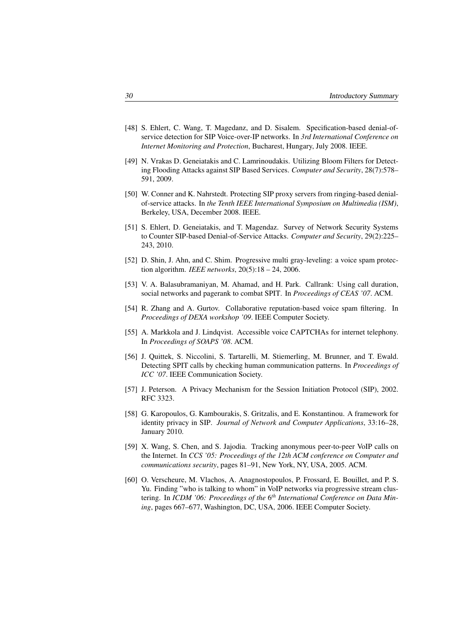- [48] S. Ehlert, C. Wang, T. Magedanz, and D. Sisalem. Specification-based denial-ofservice detection for SIP Voice-over-IP networks. In *3rd International Conference on Internet Monitoring and Protection*, Bucharest, Hungary, July 2008. IEEE.
- [49] N. Vrakas D. Geneiatakis and C. Lamrinoudakis. Utilizing Bloom Filters for Detecting Flooding Attacks against SIP Based Services. *Computer and Security*, 28(7):578– 591, 2009.
- [50] W. Conner and K. Nahrstedt. Protecting SIP proxy servers from ringing-based denialof-service attacks. In *the Tenth IEEE International Symposium on Multimedia (ISM)*, Berkeley, USA, December 2008. IEEE.
- [51] S. Ehlert, D. Geneiatakis, and T. Magendaz. Survey of Network Security Systems to Counter SIP-based Denial-of-Service Attacks. *Computer and Security*, 29(2):225– 243, 2010.
- [52] D. Shin, J. Ahn, and C. Shim. Progressive multi gray-leveling: a voice spam protection algorithm. *IEEE networks*, 20(5):18 – 24, 2006.
- [53] V. A. Balasubramaniyan, M. Ahamad, and H. Park. Callrank: Using call duration, social networks and pagerank to combat SPIT. In *Proceedings of CEAS '07*. ACM.
- [54] R. Zhang and A. Gurtov. Collaborative reputation-based voice spam filtering. In *Proceedings of DEXA workshop '09*. IEEE Computer Society.
- [55] A. Markkola and J. Lindqvist. Accessible voice CAPTCHAs for internet telephony. In *Proceedings of SOAPS '08*. ACM.
- [56] J. Quittek, S. Niccolini, S. Tartarelli, M. Stiemerling, M. Brunner, and T. Ewald. Detecting SPIT calls by checking human communication patterns. In *Proceedings of ICC '07*. IEEE Communication Society.
- [57] J. Peterson. A Privacy Mechanism for the Session Initiation Protocol (SIP), 2002. RFC 3323.
- [58] G. Karopoulos, G. Kambourakis, S. Gritzalis, and E. Konstantinou. A framework for identity privacy in SIP. *Journal of Network and Computer Applications*, 33:16–28, January 2010.
- [59] X. Wang, S. Chen, and S. Jajodia. Tracking anonymous peer-to-peer VoIP calls on the Internet. In *CCS '05: Proceedings of the 12th ACM conference on Computer and communications security*, pages 81–91, New York, NY, USA, 2005. ACM.
- [60] O. Verscheure, M. Vlachos, A. Anagnostopoulos, P. Frossard, E. Bouillet, and P. S. Yu. Finding "who is talking to whom" in VoIP networks via progressive stream clustering. In *ICDM '06: Proceedings of the* 6 *th International Conference on Data Mining*, pages 667–677, Washington, DC, USA, 2006. IEEE Computer Society.